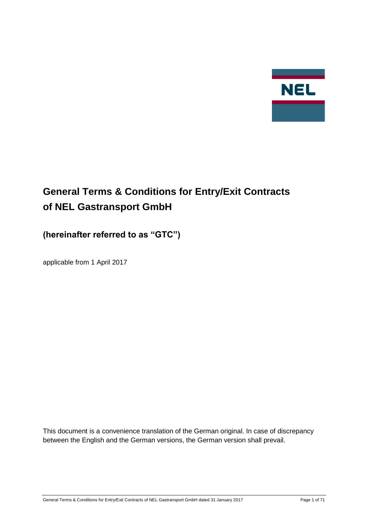

# **General Terms & Conditions for Entry/Exit Contracts of NEL Gastransport GmbH**

## **(hereinafter referred to as "GTC")**

applicable from 1 April 2017

This document is a convenience translation of the German original. In case of discrepancy between the English and the German versions, the German version shall prevail.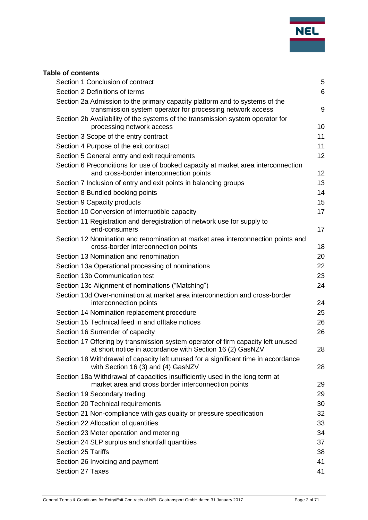

## **Table of contents**

| Section 1 Conclusion of contract                                                                                                             | 5  |
|----------------------------------------------------------------------------------------------------------------------------------------------|----|
| Section 2 Definitions of terms                                                                                                               | 6  |
| Section 2a Admission to the primary capacity platform and to systems of the<br>transmission system operator for processing network access    | 9  |
| Section 2b Availability of the systems of the transmission system operator for<br>processing network access                                  | 10 |
| Section 3 Scope of the entry contract                                                                                                        | 11 |
| Section 4 Purpose of the exit contract                                                                                                       | 11 |
| Section 5 General entry and exit requirements                                                                                                | 12 |
| Section 6 Preconditions for use of booked capacity at market area interconnection<br>and cross-border interconnection points                 | 12 |
| Section 7 Inclusion of entry and exit points in balancing groups                                                                             | 13 |
| Section 8 Bundled booking points                                                                                                             | 14 |
| Section 9 Capacity products                                                                                                                  | 15 |
| Section 10 Conversion of interruptible capacity                                                                                              | 17 |
| Section 11 Registration and deregistration of network use for supply to<br>end-consumers                                                     | 17 |
| Section 12 Nomination and renomination at market area interconnection points and<br>cross-border interconnection points                      | 18 |
| Section 13 Nomination and renomination                                                                                                       | 20 |
| Section 13a Operational processing of nominations                                                                                            | 22 |
| Section 13b Communication test                                                                                                               | 23 |
| Section 13c Alignment of nominations ("Matching")                                                                                            | 24 |
| Section 13d Over-nomination at market area interconnection and cross-border<br>interconnection points                                        | 24 |
| Section 14 Nomination replacement procedure                                                                                                  | 25 |
| Section 15 Technical feed in and offtake notices                                                                                             | 26 |
| Section 16 Surrender of capacity                                                                                                             | 26 |
| Section 17 Offering by transmission system operator of firm capacity left unused<br>at short notice in accordance with Section 16 (2) GasNZV | 28 |
| Section 18 Withdrawal of capacity left unused for a significant time in accordance<br>with Section 16 (3) and (4) GasNZV                     | 28 |
| Section 18a Withdrawal of capacities insufficiently used in the long term at<br>market area and cross border interconnection points          | 29 |
| Section 19 Secondary trading                                                                                                                 | 29 |
| Section 20 Technical requirements                                                                                                            | 30 |
| Section 21 Non-compliance with gas quality or pressure specification                                                                         | 32 |
| Section 22 Allocation of quantities                                                                                                          | 33 |
| Section 23 Meter operation and metering                                                                                                      | 34 |
| Section 24 SLP surplus and shortfall quantities                                                                                              | 37 |
| Section 25 Tariffs                                                                                                                           | 38 |
| Section 26 Invoicing and payment                                                                                                             | 41 |
| Section 27 Taxes                                                                                                                             | 41 |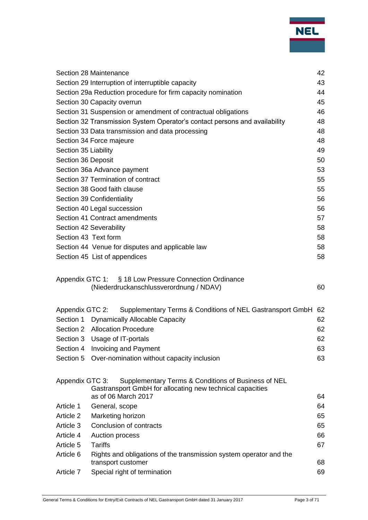|                      | Section 28 Maintenance                                                                                                                  | 42 |
|----------------------|-----------------------------------------------------------------------------------------------------------------------------------------|----|
|                      | Section 29 Interruption of interruptible capacity                                                                                       | 43 |
|                      | Section 29a Reduction procedure for firm capacity nomination                                                                            | 44 |
|                      | Section 30 Capacity overrun                                                                                                             | 45 |
|                      | Section 31 Suspension or amendment of contractual obligations                                                                           | 46 |
|                      | Section 32 Transmission System Operator's contact persons and availability                                                              | 48 |
|                      | Section 33 Data transmission and data processing                                                                                        | 48 |
|                      | Section 34 Force majeure                                                                                                                | 48 |
| Section 35 Liability |                                                                                                                                         | 49 |
| Section 36 Deposit   |                                                                                                                                         | 50 |
|                      | Section 36a Advance payment                                                                                                             | 53 |
|                      | Section 37 Termination of contract                                                                                                      | 55 |
|                      | Section 38 Good faith clause                                                                                                            | 55 |
|                      | Section 39 Confidentiality                                                                                                              | 56 |
|                      | Section 40 Legal succession                                                                                                             | 56 |
|                      | Section 41 Contract amendments                                                                                                          | 57 |
|                      | Section 42 Severability                                                                                                                 | 58 |
| Section 43 Text form |                                                                                                                                         | 58 |
|                      | Section 44 Venue for disputes and applicable law                                                                                        | 58 |
|                      | Section 45 List of appendices                                                                                                           | 58 |
|                      | Appendix GTC 1: § 18 Low Pressure Connection Ordinance<br>(Niederdruckanschlussverordnung / NDAV)                                       | 60 |
| Appendix GTC 2:      | Supplementary Terms & Conditions of NEL Gastransport GmbH                                                                               | 62 |
|                      | Section 1 Dynamically Allocable Capacity                                                                                                | 62 |
|                      | Section 2 Allocation Procedure                                                                                                          | 62 |
|                      | Section 3 Usage of IT-portals                                                                                                           | 62 |
|                      | Section 4 Invoicing and Payment                                                                                                         | 63 |
| Section 5            | Over-nomination without capacity inclusion                                                                                              | 63 |
|                      |                                                                                                                                         |    |
| Appendix GTC 3:      | Supplementary Terms & Conditions of Business of NEL<br>Gastransport GmbH for allocating new technical capacities<br>as of 06 March 2017 | 64 |
| Article 1            | General, scope                                                                                                                          | 64 |
| Article 2            | Marketing horizon                                                                                                                       | 65 |
| Article 3            | Conclusion of contracts                                                                                                                 | 65 |
| Article 4            | Auction process                                                                                                                         | 66 |
| Article 5            | <b>Tariffs</b>                                                                                                                          | 67 |
| Article 6            | Rights and obligations of the transmission system operator and the<br>transport customer                                                |    |
|                      |                                                                                                                                         | 68 |
| Article 7            | Special right of termination                                                                                                            | 69 |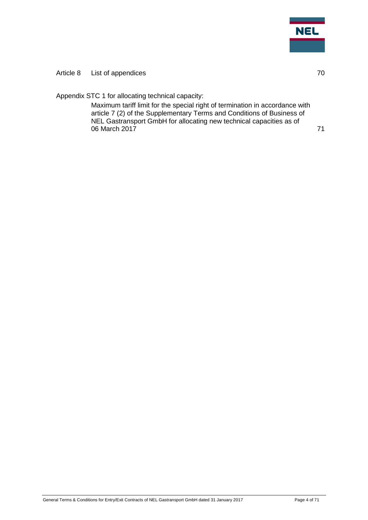

#### [Article 8 List of appendices](#page-69-0) 70

[Appendix STC 1 for allocating technical capacity:](#page-70-0)

[Maximum tariff limit for the special right of termination in accordance with](#page-70-1)  [article 7 \(2\) of the Supplementary Terms and Conditions of Business of](#page-70-1)  [NEL Gastransport GmbH for allocating new technical capacities as of](#page-70-1)  [06 March 2017](#page-70-1) **71**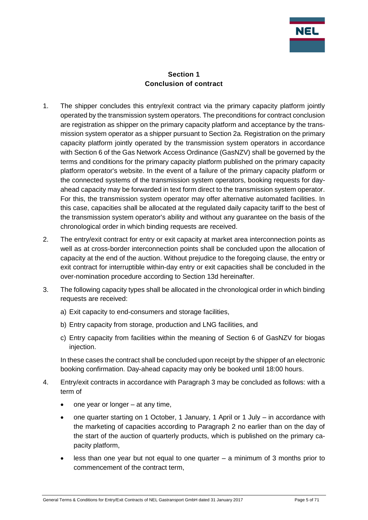

#### **Section 1 Conclusion of contract**

- <span id="page-4-0"></span>1. The shipper concludes this entry/exit contract via the primary capacity platform jointly operated by the transmission system operators. The preconditions for contract conclusion are registration as shipper on the primary capacity platform and acceptance by the transmission system operator as a shipper pursuant to Section 2a. Registration on the primary capacity platform jointly operated by the transmission system operators in accordance with Section 6 of the Gas Network Access Ordinance (GasNZV) shall be governed by the terms and conditions for the primary capacity platform published on the primary capacity platform operator's website. In the event of a failure of the primary capacity platform or the connected systems of the transmission system operators, booking requests for dayahead capacity may be forwarded in text form direct to the transmission system operator. For this, the transmission system operator may offer alternative automated facilities. In this case, capacities shall be allocated at the regulated daily capacity tariff to the best of the transmission system operator's ability and without any guarantee on the basis of the chronological order in which binding requests are received.
- 2. The entry/exit contract for entry or exit capacity at market area interconnection points as well as at cross-border interconnection points shall be concluded upon the allocation of capacity at the end of the auction. Without prejudice to the foregoing clause, the entry or exit contract for interruptible within-day entry or exit capacities shall be concluded in the over-nomination procedure according to Section 13d hereinafter.
- 3. The following capacity types shall be allocated in the chronological order in which binding requests are received:
	- a) Exit capacity to end-consumers and storage facilities,
	- b) Entry capacity from storage, production and LNG facilities, and
	- c) Entry capacity from facilities within the meaning of Section 6 of GasNZV for biogas injection.

In these cases the contract shall be concluded upon receipt by the shipper of an electronic booking confirmation. Day-ahead capacity may only be booked until 18:00 hours.

- 4. Entry/exit contracts in accordance with Paragraph 3 may be concluded as follows: with a term of
	- one year or longer at any time,
	- one quarter starting on 1 October, 1 January, 1 April or 1 July in accordance with the marketing of capacities according to Paragraph 2 no earlier than on the day of the start of the auction of quarterly products, which is published on the primary capacity platform,
	- less than one year but not equal to one quarter a minimum of 3 months prior to commencement of the contract term,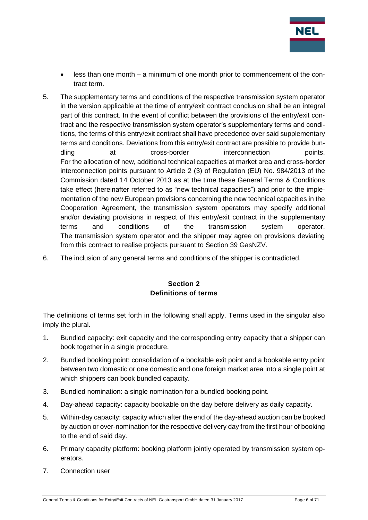

- less than one month a minimum of one month prior to commencement of the contract term.
- 5. The supplementary terms and conditions of the respective transmission system operator in the version applicable at the time of entry/exit contract conclusion shall be an integral part of this contract. In the event of conflict between the provisions of the entry/exit contract and the respective transmission system operator's supplementary terms and conditions, the terms of this entry/exit contract shall have precedence over said supplementary terms and conditions. Deviations from this entry/exit contract are possible to provide bundling at cross-border interconnection points. For the allocation of new, additional technical capacities at market area and cross-border interconnection points pursuant to Article 2 (3) of Regulation (EU) No. 984/2013 of the Commission dated 14 October 2013 as at the time these General Terms & Conditions take effect (hereinafter referred to as "new technical capacities") and prior to the implementation of the new European provisions concerning the new technical capacities in the Cooperation Agreement, the transmission system operators may specify additional and/or deviating provisions in respect of this entry/exit contract in the supplementary terms and conditions of the transmission system operator. The transmission system operator and the shipper may agree on provisions deviating from this contract to realise projects pursuant to Section 39 GasNZV.
- <span id="page-5-0"></span>6. The inclusion of any general terms and conditions of the shipper is contradicted.

## **Section 2 Definitions of terms**

The definitions of terms set forth in the following shall apply. Terms used in the singular also imply the plural.

- 1. Bundled capacity: exit capacity and the corresponding entry capacity that a shipper can book together in a single procedure.
- 2. Bundled booking point: consolidation of a bookable exit point and a bookable entry point between two domestic or one domestic and one foreign market area into a single point at which shippers can book bundled capacity.
- 3. Bundled nomination: a single nomination for a bundled booking point.
- 4. Day-ahead capacity: capacity bookable on the day before delivery as daily capacity.
- 5. Within-day capacity: capacity which after the end of the day-ahead auction can be booked by auction or over-nomination for the respective delivery day from the first hour of booking to the end of said day.
- 6. Primary capacity platform: booking platform jointly operated by transmission system operators.
- 7. Connection user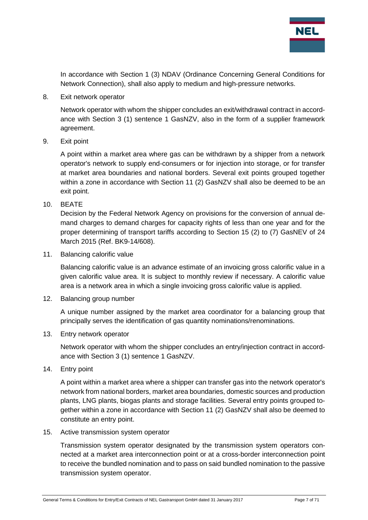

In accordance with Section 1 (3) NDAV (Ordinance Concerning General Conditions for Network Connection), shall also apply to medium and high-pressure networks.

8. Exit network operator

Network operator with whom the shipper concludes an exit/withdrawal contract in accordance with Section 3 (1) sentence 1 GasNZV, also in the form of a supplier framework agreement.

9. Exit point

A point within a market area where gas can be withdrawn by a shipper from a network operator's network to supply end-consumers or for injection into storage, or for transfer at market area boundaries and national borders. Several exit points grouped together within a zone in accordance with Section 11 (2) GasNZV shall also be deemed to be an exit point.

10. BEATE

Decision by the Federal Network Agency on provisions for the conversion of annual demand charges to demand charges for capacity rights of less than one year and for the proper determining of transport tariffs according to Section 15 (2) to (7) GasNEV of 24 March 2015 (Ref. BK9-14/608).

11. Balancing calorific value

Balancing calorific value is an advance estimate of an invoicing gross calorific value in a given calorific value area. It is subject to monthly review if necessary. A calorific value area is a network area in which a single invoicing gross calorific value is applied.

12. Balancing group number

A unique number assigned by the market area coordinator for a balancing group that principally serves the identification of gas quantity nominations/renominations.

13. Entry network operator

Network operator with whom the shipper concludes an entry/injection contract in accordance with Section 3 (1) sentence 1 GasNZV.

14. Entry point

A point within a market area where a shipper can transfer gas into the network operator's network from national borders, market area boundaries, domestic sources and production plants, LNG plants, biogas plants and storage facilities. Several entry points grouped together within a zone in accordance with Section 11 (2) GasNZV shall also be deemed to constitute an entry point.

15. Active transmission system operator

Transmission system operator designated by the transmission system operators connected at a market area interconnection point or at a cross-border interconnection point to receive the bundled nomination and to pass on said bundled nomination to the passive transmission system operator.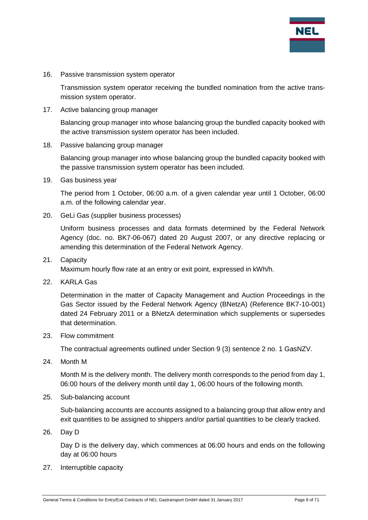

16. Passive transmission system operator

Transmission system operator receiving the bundled nomination from the active transmission system operator.

17. Active balancing group manager

Balancing group manager into whose balancing group the bundled capacity booked with the active transmission system operator has been included.

18. Passive balancing group manager

Balancing group manager into whose balancing group the bundled capacity booked with the passive transmission system operator has been included.

19. Gas business year

The period from 1 October, 06:00 a.m. of a given calendar year until 1 October, 06:00 a.m. of the following calendar year.

20. GeLi Gas (supplier business processes)

Uniform business processes and data formats determined by the Federal Network Agency (doc. no. BK7-06-067) dated 20 August 2007, or any directive replacing or amending this determination of the Federal Network Agency.

21. Capacity

Maximum hourly flow rate at an entry or exit point, expressed in kWh/h.

22. KARLA Gas

Determination in the matter of Capacity Management and Auction Proceedings in the Gas Sector issued by the Federal Network Agency (BNetzA) (Reference BK7-10-001) dated 24 February 2011 or a BNetzA determination which supplements or supersedes that determination.

23. Flow commitment

The contractual agreements outlined under Section 9 (3) sentence 2 no. 1 GasNZV.

24. Month M

Month M is the delivery month. The delivery month corresponds to the period from day 1, 06:00 hours of the delivery month until day 1, 06:00 hours of the following month.

25. Sub-balancing account

Sub-balancing accounts are accounts assigned to a balancing group that allow entry and exit quantities to be assigned to shippers and/or partial quantities to be clearly tracked.

26. Day D

Day D is the delivery day, which commences at 06:00 hours and ends on the following day at 06:00 hours

27. Interruptible capacity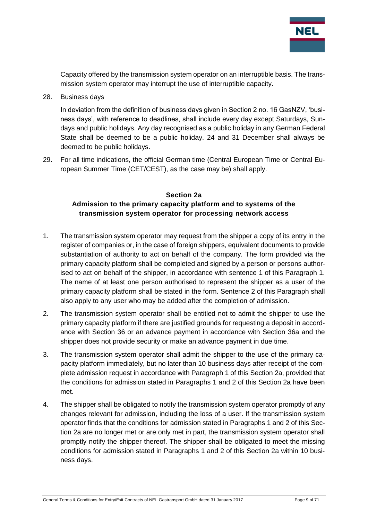

Capacity offered by the transmission system operator on an interruptible basis. The transmission system operator may interrupt the use of interruptible capacity.

28. Business days

In deviation from the definition of business days given in Section 2 no. 16 GasNZV, 'business days', with reference to deadlines, shall include every day except Saturdays, Sundays and public holidays. Any day recognised as a public holiday in any German Federal State shall be deemed to be a public holiday. 24 and 31 December shall always be deemed to be public holidays.

29. For all time indications, the official German time (Central European Time or Central European Summer Time (CET/CEST), as the case may be) shall apply.

#### <span id="page-8-0"></span>**Section 2a Admission to the primary capacity platform and to systems of the transmission system operator for processing network access**

- 1. The transmission system operator may request from the shipper a copy of its entry in the register of companies or, in the case of foreign shippers, equivalent documents to provide substantiation of authority to act on behalf of the company. The form provided via the primary capacity platform shall be completed and signed by a person or persons authorised to act on behalf of the shipper, in accordance with sentence 1 of this Paragraph 1. The name of at least one person authorised to represent the shipper as a user of the primary capacity platform shall be stated in the form. Sentence 2 of this Paragraph shall also apply to any user who may be added after the completion of admission.
- 2. The transmission system operator shall be entitled not to admit the shipper to use the primary capacity platform if there are justified grounds for requesting a deposit in accordance with Section 36 or an advance payment in accordance with Section 36a and the shipper does not provide security or make an advance payment in due time.
- 3. The transmission system operator shall admit the shipper to the use of the primary capacity platform immediately, but no later than 10 business days after receipt of the complete admission request in accordance with Paragraph 1 of this Section 2a, provided that the conditions for admission stated in Paragraphs 1 and 2 of this Section 2a have been met.
- 4. The shipper shall be obligated to notify the transmission system operator promptly of any changes relevant for admission, including the loss of a user. If the transmission system operator finds that the conditions for admission stated in Paragraphs 1 and 2 of this Section 2a are no longer met or are only met in part, the transmission system operator shall promptly notify the shipper thereof. The shipper shall be obligated to meet the missing conditions for admission stated in Paragraphs 1 and 2 of this Section 2a within 10 business days.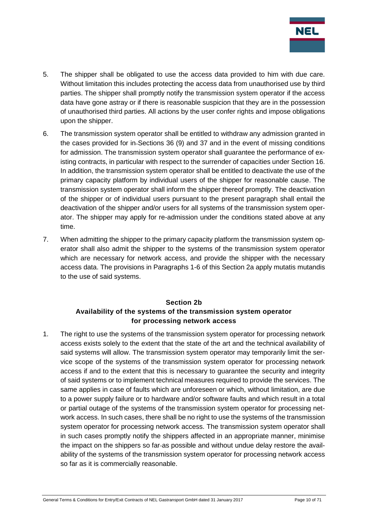

- 5. The shipper shall be obligated to use the access data provided to him with due care. Without limitation this includes protecting the access data from unauthorised use by third parties. The shipper shall promptly notify the transmission system operator if the access data have gone astray or if there is reasonable suspicion that they are in the possession of unauthorised third parties. All actions by the user confer rights and impose obligations upon the shipper.
- 6. The transmission system operator shall be entitled to withdraw any admission granted in the cases provided for in Sections 36 (9) and 37 and in the event of missing conditions for admission. The transmission system operator shall guarantee the performance of existing contracts, in particular with respect to the surrender of capacities under Section 16. In addition, the transmission system operator shall be entitled to deactivate the use of the primary capacity platform by individual users of the shipper for reasonable cause. The transmission system operator shall inform the shipper thereof promptly. The deactivation of the shipper or of individual users pursuant to the present paragraph shall entail the deactivation of the shipper and/or users for all systems of the transmission system operator. The shipper may apply for re-admission under the conditions stated above at any time.
- 7. When admitting the shipper to the primary capacity platform the transmission system operator shall also admit the shipper to the systems of the transmission system operator which are necessary for network access, and provide the shipper with the necessary access data. The provisions in Paragraphs 1-6 of this Section 2a apply mutatis mutandis to the use of said systems.

## **Section 2b Availability of the systems of the transmission system operator for processing network access**

<span id="page-9-0"></span>1. The right to use the systems of the transmission system operator for processing network access exists solely to the extent that the state of the art and the technical availability of said systems will allow. The transmission system operator may temporarily limit the service scope of the systems of the transmission system operator for processing network access if and to the extent that this is necessary to guarantee the security and integrity of said systems or to implement technical measures required to provide the services. The same applies in case of faults which are unforeseen or which, without limitation, are due to a power supply failure or to hardware and/or software faults and which result in a total or partial outage of the systems of the transmission system operator for processing network access. In such cases, there shall be no right to use the systems of the transmission system operator for processing network access. The transmission system operator shall in such cases promptly notify the shippers affected in an appropriate manner, minimise the impact on the shippers so far-as possible and without undue delay restore the availability of the systems of the transmission system operator for processing network access so far as it is commercially reasonable.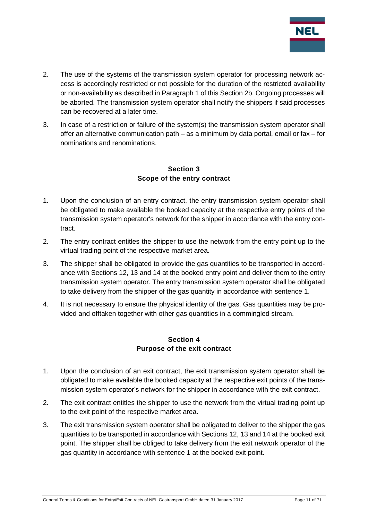

- 2. The use of the systems of the transmission system operator for processing network access is accordingly restricted or not possible for the duration of the restricted availability or non-availability as described in Paragraph 1 of this Section 2b. Ongoing processes will be aborted. The transmission system operator shall notify the shippers if said processes can be recovered at a later time.
- 3. In case of a restriction or failure of the system(s) the transmission system operator shall offer an alternative communication path – as a minimum by data portal, email or fax – for nominations and renominations.

#### **Section 3 Scope of the entry contract**

- <span id="page-10-0"></span>1. Upon the conclusion of an entry contract, the entry transmission system operator shall be obligated to make available the booked capacity at the respective entry points of the transmission system operator's network for the shipper in accordance with the entry contract.
- 2. The entry contract entitles the shipper to use the network from the entry point up to the virtual trading point of the respective market area.
- 3. The shipper shall be obligated to provide the gas quantities to be transported in accordance with Sections 12, 13 and 14 at the booked entry point and deliver them to the entry transmission system operator. The entry transmission system operator shall be obligated to take delivery from the shipper of the gas quantity in accordance with sentence 1.
- 4. It is not necessary to ensure the physical identity of the gas. Gas quantities may be provided and offtaken together with other gas quantities in a commingled stream.

#### **Section 4 Purpose of the exit contract**

- <span id="page-10-1"></span>1. Upon the conclusion of an exit contract, the exit transmission system operator shall be obligated to make available the booked capacity at the respective exit points of the transmission system operator's network for the shipper in accordance with the exit contract.
- 2. The exit contract entitles the shipper to use the network from the virtual trading point up to the exit point of the respective market area.
- 3. The exit transmission system operator shall be obligated to deliver to the shipper the gas quantities to be transported in accordance with Sections 12, 13 and 14 at the booked exit point. The shipper shall be obliged to take delivery from the exit network operator of the gas quantity in accordance with sentence 1 at the booked exit point.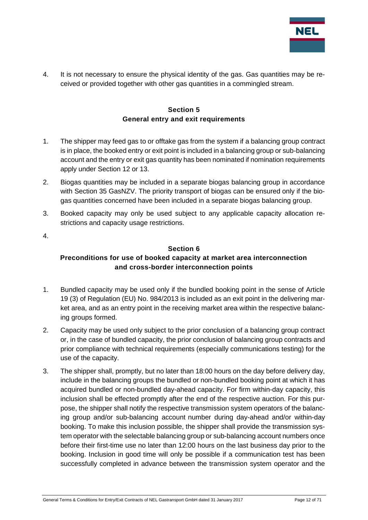

4. It is not necessary to ensure the physical identity of the gas. Gas quantities may be received or provided together with other gas quantities in a commingled stream.

#### **Section 5 General entry and exit requirements**

- <span id="page-11-0"></span>1. The shipper may feed gas to or offtake gas from the system if a balancing group contract is in place, the booked entry or exit point is included in a balancing group or sub-balancing account and the entry or exit gas quantity has been nominated if nomination requirements apply under Section 12 or 13.
- 2. Biogas quantities may be included in a separate biogas balancing group in accordance with Section 35 GasNZV. The priority transport of biogas can be ensured only if the biogas quantities concerned have been included in a separate biogas balancing group.
- 3. Booked capacity may only be used subject to any applicable capacity allocation restrictions and capacity usage restrictions.
- <span id="page-11-1"></span>4.

#### **Section 6**

## **Preconditions for use of booked capacity at market area interconnection and cross-border interconnection points**

- 1. Bundled capacity may be used only if the bundled booking point in the sense of Article 19 (3) of Regulation (EU) No. 984/2013 is included as an exit point in the delivering market area, and as an entry point in the receiving market area within the respective balancing groups formed.
- 2. Capacity may be used only subject to the prior conclusion of a balancing group contract or, in the case of bundled capacity, the prior conclusion of balancing group contracts and prior compliance with technical requirements (especially communications testing) for the use of the capacity.
- 3. The shipper shall, promptly, but no later than 18:00 hours on the day before delivery day, include in the balancing groups the bundled or non-bundled booking point at which it has acquired bundled or non-bundled day-ahead capacity. For firm within-day capacity, this inclusion shall be effected promptly after the end of the respective auction. For this purpose, the shipper shall notify the respective transmission system operators of the balancing group and/or sub-balancing account number during day-ahead and/or within-day booking. To make this inclusion possible, the shipper shall provide the transmission system operator with the selectable balancing group or sub-balancing account numbers once before their first-time use no later than 12:00 hours on the last business day prior to the booking. Inclusion in good time will only be possible if a communication test has been successfully completed in advance between the transmission system operator and the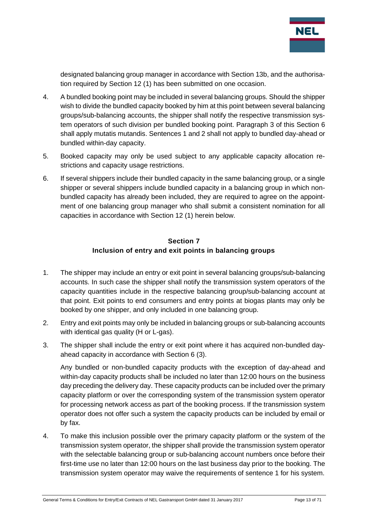

designated balancing group manager in accordance with Section 13b, and the authorisation required by Section 12 (1) has been submitted on one occasion.

- 4. A bundled booking point may be included in several balancing groups. Should the shipper wish to divide the bundled capacity booked by him at this point between several balancing groups/sub-balancing accounts, the shipper shall notify the respective transmission system operators of such division per bundled booking point. Paragraph 3 of this Section 6 shall apply mutatis mutandis. Sentences 1 and 2 shall not apply to bundled day-ahead or bundled within-day capacity.
- 5. Booked capacity may only be used subject to any applicable capacity allocation restrictions and capacity usage restrictions.
- 6. If several shippers include their bundled capacity in the same balancing group, or a single shipper or several shippers include bundled capacity in a balancing group in which nonbundled capacity has already been included, they are required to agree on the appointment of one balancing group manager who shall submit a consistent nomination for all capacities in accordance with Section 12 (1) herein below.

#### **Section 7 Inclusion of entry and exit points in balancing groups**

- <span id="page-12-0"></span>1. The shipper may include an entry or exit point in several balancing groups/sub-balancing accounts. In such case the shipper shall notify the transmission system operators of the capacity quantities include in the respective balancing group/sub-balancing account at that point. Exit points to end consumers and entry points at biogas plants may only be booked by one shipper, and only included in one balancing group.
- 2. Entry and exit points may only be included in balancing groups or sub-balancing accounts with identical gas quality (H or L-gas).
- 3. The shipper shall include the entry or exit point where it has acquired non-bundled dayahead capacity in accordance with Section 6 (3).

Any bundled or non-bundled capacity products with the exception of day-ahead and within-day capacity products shall be included no later than 12:00 hours on the business day preceding the delivery day. These capacity products can be included over the primary capacity platform or over the corresponding system of the transmission system operator for processing network access as part of the booking process. If the transmission system operator does not offer such a system the capacity products can be included by email or by fax.

4. To make this inclusion possible over the primary capacity platform or the system of the transmission system operator, the shipper shall provide the transmission system operator with the selectable balancing group or sub-balancing account numbers once before their first-time use no later than 12:00 hours on the last business day prior to the booking. The transmission system operator may waive the requirements of sentence 1 for his system.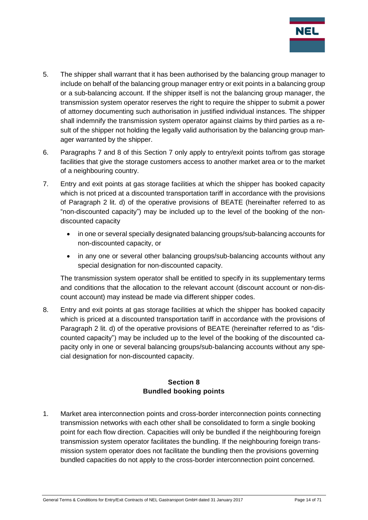

- 5. The shipper shall warrant that it has been authorised by the balancing group manager to include on behalf of the balancing group manager entry or exit points in a balancing group or a sub-balancing account. If the shipper itself is not the balancing group manager, the transmission system operator reserves the right to require the shipper to submit a power of attorney documenting such authorisation in justified individual instances. The shipper shall indemnify the transmission system operator against claims by third parties as a result of the shipper not holding the legally valid authorisation by the balancing group manager warranted by the shipper.
- 6. Paragraphs 7 and 8 of this Section 7 only apply to entry/exit points to/from gas storage facilities that give the storage customers access to another market area or to the market of a neighbouring country.
- 7. Entry and exit points at gas storage facilities at which the shipper has booked capacity which is not priced at a discounted transportation tariff in accordance with the provisions of Paragraph 2 lit. d) of the operative provisions of BEATE (hereinafter referred to as "non-discounted capacity") may be included up to the level of the booking of the nondiscounted capacity
	- in one or several specially designated balancing groups/sub-balancing accounts for non-discounted capacity, or
	- in any one or several other balancing groups/sub-balancing accounts without any special designation for non-discounted capacity.

The transmission system operator shall be entitled to specify in its supplementary terms and conditions that the allocation to the relevant account (discount account or non-discount account) may instead be made via different shipper codes.

8. Entry and exit points at gas storage facilities at which the shipper has booked capacity which is priced at a discounted transportation tariff in accordance with the provisions of Paragraph 2 lit. d) of the operative provisions of BEATE (hereinafter referred to as "discounted capacity") may be included up to the level of the booking of the discounted capacity only in one or several balancing groups/sub-balancing accounts without any special designation for non-discounted capacity.

## **Section 8 Bundled booking points**

<span id="page-13-0"></span>1. Market area interconnection points and cross-border interconnection points connecting transmission networks with each other shall be consolidated to form a single booking point for each flow direction. Capacities will only be bundled if the neighbouring foreign transmission system operator facilitates the bundling. If the neighbouring foreign transmission system operator does not facilitate the bundling then the provisions governing bundled capacities do not apply to the cross-border interconnection point concerned.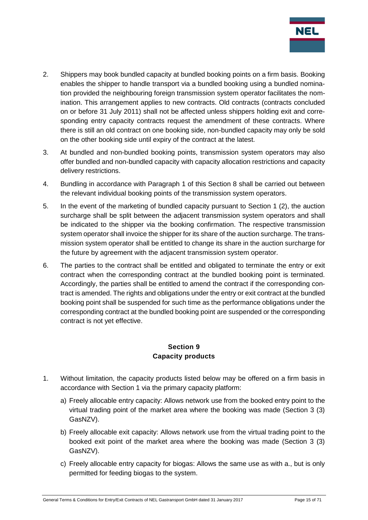

- 2. Shippers may book bundled capacity at bundled booking points on a firm basis. Booking enables the shipper to handle transport via a bundled booking using a bundled nomination provided the neighbouring foreign transmission system operator facilitates the nomination. This arrangement applies to new contracts. Old contracts (contracts concluded on or before 31 July 2011) shall not be affected unless shippers holding exit and corresponding entry capacity contracts request the amendment of these contracts. Where there is still an old contract on one booking side, non-bundled capacity may only be sold on the other booking side until expiry of the contract at the latest.
- 3. At bundled and non-bundled booking points, transmission system operators may also offer bundled and non-bundled capacity with capacity allocation restrictions and capacity delivery restrictions.
- 4. Bundling in accordance with Paragraph 1 of this Section 8 shall be carried out between the relevant individual booking points of the transmission system operators.
- 5. In the event of the marketing of bundled capacity pursuant to Section 1 (2), the auction surcharge shall be split between the adjacent transmission system operators and shall be indicated to the shipper via the booking confirmation. The respective transmission system operator shall invoice the shipper for its share of the auction surcharge. The transmission system operator shall be entitled to change its share in the auction surcharge for the future by agreement with the adjacent transmission system operator.
- 6. The parties to the contract shall be entitled and obligated to terminate the entry or exit contract when the corresponding contract at the bundled booking point is terminated. Accordingly, the parties shall be entitled to amend the contract if the corresponding contract is amended. The rights and obligations under the entry or exit contract at the bundled booking point shall be suspended for such time as the performance obligations under the corresponding contract at the bundled booking point are suspended or the corresponding contract is not yet effective.

#### **Section 9 Capacity products**

- <span id="page-14-0"></span>1. Without limitation, the capacity products listed below may be offered on a firm basis in accordance with Section 1 via the primary capacity platform:
	- a) Freely allocable entry capacity: Allows network use from the booked entry point to the virtual trading point of the market area where the booking was made (Section 3 (3) GasNZV).
	- b) Freely allocable exit capacity: Allows network use from the virtual trading point to the booked exit point of the market area where the booking was made (Section 3 (3) GasNZV).
	- c) Freely allocable entry capacity for biogas: Allows the same use as with a., but is only permitted for feeding biogas to the system.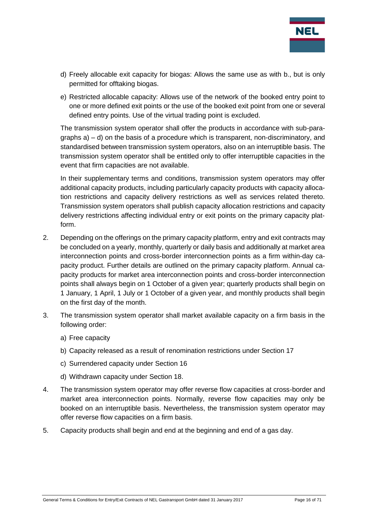

- d) Freely allocable exit capacity for biogas: Allows the same use as with b., but is only permitted for offtaking biogas.
- e) Restricted allocable capacity: Allows use of the network of the booked entry point to one or more defined exit points or the use of the booked exit point from one or several defined entry points. Use of the virtual trading point is excluded.

The transmission system operator shall offer the products in accordance with sub-paragraphs a) – d) on the basis of a procedure which is transparent, non-discriminatory, and standardised between transmission system operators, also on an interruptible basis. The transmission system operator shall be entitled only to offer interruptible capacities in the event that firm capacities are not available.

In their supplementary terms and conditions, transmission system operators may offer additional capacity products, including particularly capacity products with capacity allocation restrictions and capacity delivery restrictions as well as services related thereto. Transmission system operators shall publish capacity allocation restrictions and capacity delivery restrictions affecting individual entry or exit points on the primary capacity platform.

- 2. Depending on the offerings on the primary capacity platform, entry and exit contracts may be concluded on a yearly, monthly, quarterly or daily basis and additionally at market area interconnection points and cross-border interconnection points as a firm within-day capacity product. Further details are outlined on the primary capacity platform. Annual capacity products for market area interconnection points and cross-border interconnection points shall always begin on 1 October of a given year; quarterly products shall begin on 1 January, 1 April, 1 July or 1 October of a given year, and monthly products shall begin on the first day of the month.
- 3. The transmission system operator shall market available capacity on a firm basis in the following order:
	- a) Free capacity
	- b) Capacity released as a result of renomination restrictions under Section 17
	- c) Surrendered capacity under Section 16
	- d) Withdrawn capacity under Section 18.
- 4. The transmission system operator may offer reverse flow capacities at cross-border and market area interconnection points. Normally, reverse flow capacities may only be booked on an interruptible basis. Nevertheless, the transmission system operator may offer reverse flow capacities on a firm basis.
- 5. Capacity products shall begin and end at the beginning and end of a gas day.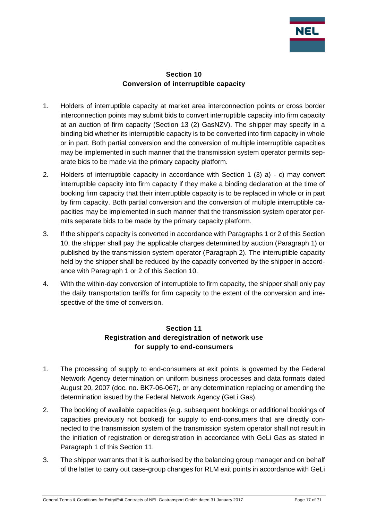

#### **Section 10 Conversion of interruptible capacity**

- <span id="page-16-0"></span>1. Holders of interruptible capacity at market area interconnection points or cross border interconnection points may submit bids to convert interruptible capacity into firm capacity at an auction of firm capacity (Section 13 (2) GasNZV). The shipper may specify in a binding bid whether its interruptible capacity is to be converted into firm capacity in whole or in part. Both partial conversion and the conversion of multiple interruptible capacities may be implemented in such manner that the transmission system operator permits separate bids to be made via the primary capacity platform.
- 2. Holders of interruptible capacity in accordance with Section 1 (3) a) c) may convert interruptible capacity into firm capacity if they make a binding declaration at the time of booking firm capacity that their interruptible capacity is to be replaced in whole or in part by firm capacity. Both partial conversion and the conversion of multiple interruptible capacities may be implemented in such manner that the transmission system operator permits separate bids to be made by the primary capacity platform.
- 3. If the shipper's capacity is converted in accordance with Paragraphs 1 or 2 of this Section 10, the shipper shall pay the applicable charges determined by auction (Paragraph 1) or published by the transmission system operator (Paragraph 2). The interruptible capacity held by the shipper shall be reduced by the capacity converted by the shipper in accordance with Paragraph 1 or 2 of this Section 10.
- 4. With the within-day conversion of interruptible to firm capacity, the shipper shall only pay the daily transportation tariffs for firm capacity to the extent of the conversion and irrespective of the time of conversion.

## **Section 11 Registration and deregistration of network use for supply to end-consumers**

- <span id="page-16-1"></span>1. The processing of supply to end-consumers at exit points is governed by the Federal Network Agency determination on uniform business processes and data formats dated August 20, 2007 (doc. no. BK7-06-067), or any determination replacing or amending the determination issued by the Federal Network Agency (GeLi Gas).
- 2. The booking of available capacities (e.g. subsequent bookings or additional bookings of capacities previously not booked) for supply to end-consumers that are directly connected to the transmission system of the transmission system operator shall not result in the initiation of registration or deregistration in accordance with GeLi Gas as stated in Paragraph 1 of this Section 11.
- 3. The shipper warrants that it is authorised by the balancing group manager and on behalf of the latter to carry out case-group changes for RLM exit points in accordance with GeLi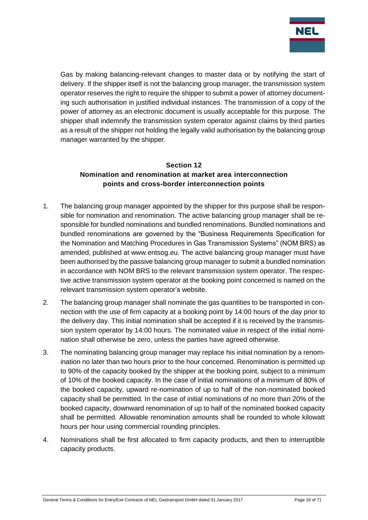

Gas by making balancing-relevant changes to master data or by notifying the start of delivery. If the shipper itself is not the balancing group manager, the transmission system operator reserves the right to require the shipper to submit a power of attorney documenting such authorisation in justified individual instances. The transmission of a copy of the power of attorney as an electronic document is usually acceptable for this purpose. The shipper shall indemnify the transmission system operator against claims by third parties as a result of the shipper not holding the legally valid authorisation by the balancing group manager warranted by the shipper.

#### <span id="page-17-0"></span>**Section 12 Nomination and renomination at market area interconnection points and cross-border interconnection points**

- 1. The balancing group manager appointed by the shipper for this purpose shall be responsible for nomination and renomination. The active balancing group manager shall be responsible for bundled nominations and bundled renominations. Bundled nominations and bundled renominations are governed by the "Business Requirements Specification for the Nomination and Matching Procedures in Gas Transmission Systems" (NOM BRS) as amended, published at www.entsog.eu. The active balancing group manager must have been authorised by the passive balancing group manager to submit a bundled nomination in accordance with NOM BRS to the relevant transmission system operator. The respective active transmission system operator at the booking point concerned is named on the relevant transmission system operator's website.
- 2. The balancing group manager shall nominate the gas quantities to be transported in connection with the use of firm capacity at a booking point by 14:00 hours of the day prior to the delivery day. This initial nomination shall be accepted if it is received by the transmission system operator by 14:00 hours. The nominated value in respect of the initial nomination shall otherwise be zero, unless the parties have agreed otherwise.
- 3. The nominating balancing group manager may replace his initial nomination by a renomination no later than two hours prior to the hour concerned. Renomination is permitted up to 90% of the capacity booked by the shipper at the booking point, subject to a minimum of 10% of the booked capacity. In the case of initial nominations of a minimum of 80% of the booked capacity, upward re-nomination of up to half of the non-nominated booked capacity shall be permitted. In the case of initial nominations of no more than 20% of the booked capacity, downward renomination of up to half of the nominated booked capacity shall be permitted. Allowable renomination amounts shall be rounded to whole kilowatt hours per hour using commercial rounding principles.
- 4. Nominations shall be first allocated to firm capacity products, and then to interruptible capacity products.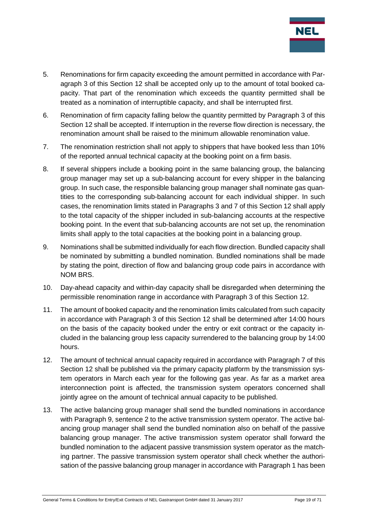

- 5. Renominations for firm capacity exceeding the amount permitted in accordance with Paragraph 3 of this Section 12 shall be accepted only up to the amount of total booked capacity. That part of the renomination which exceeds the quantity permitted shall be treated as a nomination of interruptible capacity, and shall be interrupted first.
- 6. Renomination of firm capacity falling below the quantity permitted by Paragraph 3 of this Section 12 shall be accepted. If interruption in the reverse flow direction is necessary, the renomination amount shall be raised to the minimum allowable renomination value.
- 7. The renomination restriction shall not apply to shippers that have booked less than 10% of the reported annual technical capacity at the booking point on a firm basis.
- 8. If several shippers include a booking point in the same balancing group, the balancing group manager may set up a sub-balancing account for every shipper in the balancing group. In such case, the responsible balancing group manager shall nominate gas quantities to the corresponding sub-balancing account for each individual shipper. In such cases, the renomination limits stated in Paragraphs 3 and 7 of this Section 12 shall apply to the total capacity of the shipper included in sub-balancing accounts at the respective booking point. In the event that sub-balancing accounts are not set up, the renomination limits shall apply to the total capacities at the booking point in a balancing group.
- 9. Nominations shall be submitted individually for each flow direction. Bundled capacity shall be nominated by submitting a bundled nomination. Bundled nominations shall be made by stating the point, direction of flow and balancing group code pairs in accordance with NOM BRS.
- 10. Day-ahead capacity and within-day capacity shall be disregarded when determining the permissible renomination range in accordance with Paragraph 3 of this Section 12.
- 11. The amount of booked capacity and the renomination limits calculated from such capacity in accordance with Paragraph 3 of this Section 12 shall be determined after 14:00 hours on the basis of the capacity booked under the entry or exit contract or the capacity included in the balancing group less capacity surrendered to the balancing group by 14:00 hours.
- 12. The amount of technical annual capacity required in accordance with Paragraph 7 of this Section 12 shall be published via the primary capacity platform by the transmission system operators in March each year for the following gas year. As far as a market area interconnection point is affected, the transmission system operators concerned shall jointly agree on the amount of technical annual capacity to be published.
- 13. The active balancing group manager shall send the bundled nominations in accordance with Paragraph 9, sentence 2 to the active transmission system operator. The active balancing group manager shall send the bundled nomination also on behalf of the passive balancing group manager. The active transmission system operator shall forward the bundled nomination to the adjacent passive transmission system operator as the matching partner. The passive transmission system operator shall check whether the authorisation of the passive balancing group manager in accordance with Paragraph 1 has been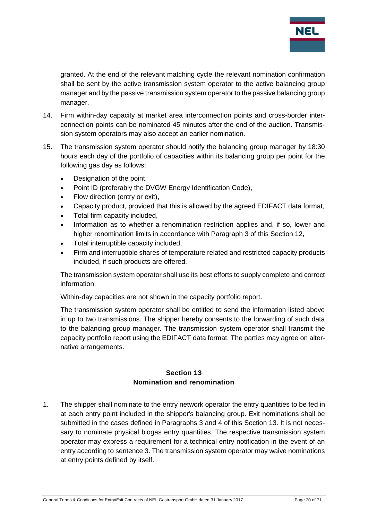

granted. At the end of the relevant matching cycle the relevant nomination confirmation shall be sent by the active transmission system operator to the active balancing group manager and by the passive transmission system operator to the passive balancing group manager.

- 14. Firm within-day capacity at market area interconnection points and cross-border interconnection points can be nominated 45 minutes after the end of the auction. Transmission system operators may also accept an earlier nomination.
- 15. The transmission system operator should notify the balancing group manager by 18:30 hours each day of the portfolio of capacities within its balancing group per point for the following gas day as follows:
	- Designation of the point.
	- Point ID (preferably the DVGW Energy Identification Code),
	- Flow direction (entry or exit),
	- Capacity product, provided that this is allowed by the agreed EDIFACT data format,
	- Total firm capacity included,
	- Information as to whether a renomination restriction applies and, if so, lower and higher renomination limits in accordance with Paragraph 3 of this Section 12,
	- Total interruptible capacity included,
	- Firm and interruptible shares of temperature related and restricted capacity products included, if such products are offered.

The transmission system operator shall use its best efforts to supply complete and correct information.

Within-day capacities are not shown in the capacity portfolio report.

The transmission system operator shall be entitled to send the information listed above in up to two transmissions. The shipper hereby consents to the forwarding of such data to the balancing group manager. The transmission system operator shall transmit the capacity portfolio report using the EDIFACT data format. The parties may agree on alternative arrangements.

#### **Section 13 Nomination and renomination**

<span id="page-19-0"></span>1. The shipper shall nominate to the entry network operator the entry quantities to be fed in at each entry point included in the shipper's balancing group. Exit nominations shall be submitted in the cases defined in Paragraphs 3 and 4 of this Section 13. It is not necessary to nominate physical biogas entry quantities. The respective transmission system operator may express a requirement for a technical entry notification in the event of an entry according to sentence 3. The transmission system operator may waive nominations at entry points defined by itself.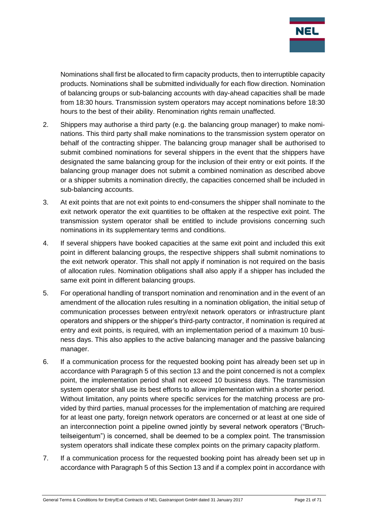

Nominations shall first be allocated to firm capacity products, then to interruptible capacity products. Nominations shall be submitted individually for each flow direction. Nomination of balancing groups or sub-balancing accounts with day-ahead capacities shall be made from 18:30 hours. Transmission system operators may accept nominations before 18:30 hours to the best of their ability. Renomination rights remain unaffected.

- 2. Shippers may authorise a third party (e.g. the balancing group manager) to make nominations. This third party shall make nominations to the transmission system operator on behalf of the contracting shipper. The balancing group manager shall be authorised to submit combined nominations for several shippers in the event that the shippers have designated the same balancing group for the inclusion of their entry or exit points. If the balancing group manager does not submit a combined nomination as described above or a shipper submits a nomination directly, the capacities concerned shall be included in sub-balancing accounts.
- 3. At exit points that are not exit points to end-consumers the shipper shall nominate to the exit network operator the exit quantities to be offtaken at the respective exit point. The transmission system operator shall be entitled to include provisions concerning such nominations in its supplementary terms and conditions.
- 4. If several shippers have booked capacities at the same exit point and included this exit point in different balancing groups, the respective shippers shall submit nominations to the exit network operator. This shall not apply if nomination is not required on the basis of allocation rules. Nomination obligations shall also apply if a shipper has included the same exit point in different balancing groups.
- 5. For operational handling of transport nomination and renomination and in the event of an amendment of the allocation rules resulting in a nomination obligation, the initial setup of communication processes between entry/exit network operators or infrastructure plant operators and shippers or the shipper's third-party contractor, if nomination is required at entry and exit points, is required, with an implementation period of a maximum 10 business days. This also applies to the active balancing manager and the passive balancing manager.
- 6. If a communication process for the requested booking point has already been set up in accordance with Paragraph 5 of this section 13 and the point concerned is not a complex point, the implementation period shall not exceed 10 business days. The transmission system operator shall use its best efforts to allow implementation within a shorter period. Without limitation, any points where specific services for the matching process are provided by third parties, manual processes for the implementation of matching are required for at least one party, foreign network operators are concerned or at least at one side of an interconnection point a pipeline owned jointly by several network operators ("Bruchteilseigentum") is concerned, shall be deemed to be a complex point. The transmission system operators shall indicate these complex points on the primary capacity platform.
- 7. If a communication process for the requested booking point has already been set up in accordance with Paragraph 5 of this Section 13 and if a complex point in accordance with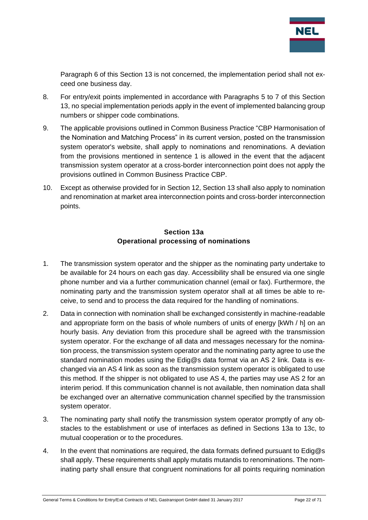

Paragraph 6 of this Section 13 is not concerned, the implementation period shall not exceed one business day.

- 8. For entry/exit points implemented in accordance with Paragraphs 5 to 7 of this Section 13, no special implementation periods apply in the event of implemented balancing group numbers or shipper code combinations.
- 9. The applicable provisions outlined in Common Business Practice "CBP Harmonisation of the Nomination and Matching Process" in its current version, posted on the transmission system operator's website, shall apply to nominations and renominations. A deviation from the provisions mentioned in sentence 1 is allowed in the event that the adjacent transmission system operator at a cross-border interconnection point does not apply the provisions outlined in Common Business Practice CBP.
- 10. Except as otherwise provided for in Section 12, Section 13 shall also apply to nomination and renomination at market area interconnection points and cross-border interconnection points.

#### **Section 13a Operational processing of nominations**

- <span id="page-21-0"></span>1. The transmission system operator and the shipper as the nominating party undertake to be available for 24 hours on each gas day. Accessibility shall be ensured via one single phone number and via a further communication channel (email or fax). Furthermore, the nominating party and the transmission system operator shall at all times be able to receive, to send and to process the data required for the handling of nominations.
- 2. Data in connection with nomination shall be exchanged consistently in machine-readable and appropriate form on the basis of whole numbers of units of energy [kWh / h] on an hourly basis. Any deviation from this procedure shall be agreed with the transmission system operator. For the exchange of all data and messages necessary for the nomination process, the transmission system operator and the nominating party agree to use the standard nomination modes using the Edig@s data format via an AS 2 link. Data is exchanged via an AS 4 link as soon as the transmission system operator is obligated to use this method. If the shipper is not obligated to use AS 4, the parties may use AS 2 for an interim period. If this communication channel is not available, then nomination data shall be exchanged over an alternative communication channel specified by the transmission system operator.
- 3. The nominating party shall notify the transmission system operator promptly of any obstacles to the establishment or use of interfaces as defined in Sections 13a to 13c, to mutual cooperation or to the procedures.
- 4. In the event that nominations are required, the data formats defined pursuant to  $Ediq@s$ shall apply. These requirements shall apply mutatis mutandis to renominations. The nominating party shall ensure that congruent nominations for all points requiring nomination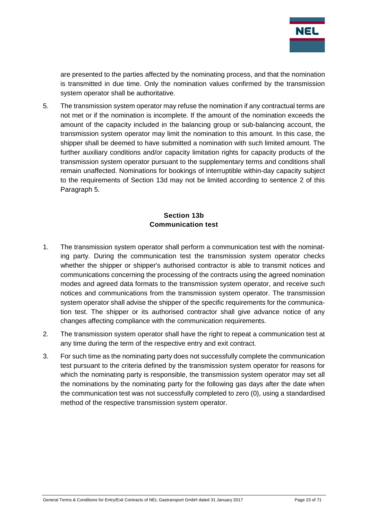

are presented to the parties affected by the nominating process, and that the nomination is transmitted in due time. Only the nomination values confirmed by the transmission system operator shall be authoritative.

5. The transmission system operator may refuse the nomination if any contractual terms are not met or if the nomination is incomplete. If the amount of the nomination exceeds the amount of the capacity included in the balancing group or sub-balancing account, the transmission system operator may limit the nomination to this amount. In this case, the shipper shall be deemed to have submitted a nomination with such limited amount. The further auxiliary conditions and/or capacity limitation rights for capacity products of the transmission system operator pursuant to the supplementary terms and conditions shall remain unaffected. Nominations for bookings of interruptible within-day capacity subject to the requirements of Section 13d may not be limited according to sentence 2 of this Paragraph 5.

## **Section 13b Communication test**

- <span id="page-22-0"></span>1. The transmission system operator shall perform a communication test with the nominating party. During the communication test the transmission system operator checks whether the shipper or shipper's authorised contractor is able to transmit notices and communications concerning the processing of the contracts using the agreed nomination modes and agreed data formats to the transmission system operator, and receive such notices and communications from the transmission system operator. The transmission system operator shall advise the shipper of the specific requirements for the communication test. The shipper or its authorised contractor shall give advance notice of any changes affecting compliance with the communication requirements.
- 2. The transmission system operator shall have the right to repeat a communication test at any time during the term of the respective entry and exit contract.
- 3. For such time as the nominating party does not successfully complete the communication test pursuant to the criteria defined by the transmission system operator for reasons for which the nominating party is responsible, the transmission system operator may set all the nominations by the nominating party for the following gas days after the date when the communication test was not successfully completed to zero (0), using a standardised method of the respective transmission system operator.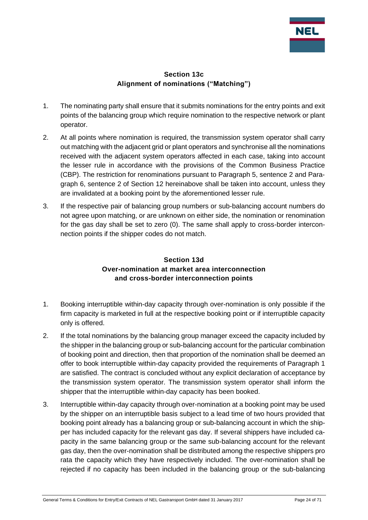

#### **Section 13c Alignment of nominations ("Matching")**

- <span id="page-23-0"></span>1. The nominating party shall ensure that it submits nominations for the entry points and exit points of the balancing group which require nomination to the respective network or plant operator.
- 2. At all points where nomination is required, the transmission system operator shall carry out matching with the adjacent grid or plant operators and synchronise all the nominations received with the adjacent system operators affected in each case, taking into account the lesser rule in accordance with the provisions of the Common Business Practice (CBP). The restriction for renominations pursuant to Paragraph 5, sentence 2 and Paragraph 6, sentence 2 of Section 12 hereinabove shall be taken into account, unless they are invalidated at a booking point by the aforementioned lesser rule.
- 3. If the respective pair of balancing group numbers or sub-balancing account numbers do not agree upon matching, or are unknown on either side, the nomination or renomination for the gas day shall be set to zero (0). The same shall apply to cross-border interconnection points if the shipper codes do not match.

## **Section 13d Over-nomination at market area interconnection and cross-border interconnection points**

- <span id="page-23-1"></span>1. Booking interruptible within-day capacity through over-nomination is only possible if the firm capacity is marketed in full at the respective booking point or if interruptible capacity only is offered.
- 2. If the total nominations by the balancing group manager exceed the capacity included by the shipper in the balancing group or sub-balancing account for the particular combination of booking point and direction, then that proportion of the nomination shall be deemed an offer to book interruptible within-day capacity provided the requirements of Paragraph 1 are satisfied. The contract is concluded without any explicit declaration of acceptance by the transmission system operator. The transmission system operator shall inform the shipper that the interruptible within-day capacity has been booked.
- 3. Interruptible within-day capacity through over-nomination at a booking point may be used by the shipper on an interruptible basis subject to a lead time of two hours provided that booking point already has a balancing group or sub-balancing account in which the shipper has included capacity for the relevant gas day. If several shippers have included capacity in the same balancing group or the same sub-balancing account for the relevant gas day, then the over-nomination shall be distributed among the respective shippers pro rata the capacity which they have respectively included. The over-nomination shall be rejected if no capacity has been included in the balancing group or the sub-balancing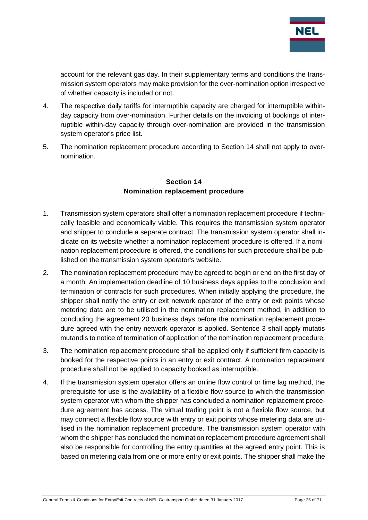

account for the relevant gas day. In their supplementary terms and conditions the transmission system operators may make provision for the over-nomination option irrespective of whether capacity is included or not.

- 4. The respective daily tariffs for interruptible capacity are charged for interruptible withinday capacity from over-nomination. Further details on the invoicing of bookings of interruptible within-day capacity through over-nomination are provided in the transmission system operator's price list.
- 5. The nomination replacement procedure according to Section 14 shall not apply to overnomination.

#### **Section 14 Nomination replacement procedure**

- <span id="page-24-0"></span>1. Transmission system operators shall offer a nomination replacement procedure if technically feasible and economically viable. This requires the transmission system operator and shipper to conclude a separate contract. The transmission system operator shall indicate on its website whether a nomination replacement procedure is offered. If a nomination replacement procedure is offered, the conditions for such procedure shall be published on the transmission system operator's website.
- 2. The nomination replacement procedure may be agreed to begin or end on the first day of a month. An implementation deadline of 10 business days applies to the conclusion and termination of contracts for such procedures. When initially applying the procedure, the shipper shall notify the entry or exit network operator of the entry or exit points whose metering data are to be utilised in the nomination replacement method, in addition to concluding the agreement 20 business days before the nomination replacement procedure agreed with the entry network operator is applied. Sentence 3 shall apply mutatis mutandis to notice of termination of application of the nomination replacement procedure.
- 3. The nomination replacement procedure shall be applied only if sufficient firm capacity is booked for the respective points in an entry or exit contract. A nomination replacement procedure shall not be applied to capacity booked as interruptible.
- 4. If the transmission system operator offers an online flow control or time lag method, the prerequisite for use is the availability of a flexible flow source to which the transmission system operator with whom the shipper has concluded a nomination replacement procedure agreement has access. The virtual trading point is not a flexible flow source, but may connect a flexible flow source with entry or exit points whose metering data are utilised in the nomination replacement procedure. The transmission system operator with whom the shipper has concluded the nomination replacement procedure agreement shall also be responsible for controlling the entry quantities at the agreed entry point. This is based on metering data from one or more entry or exit points. The shipper shall make the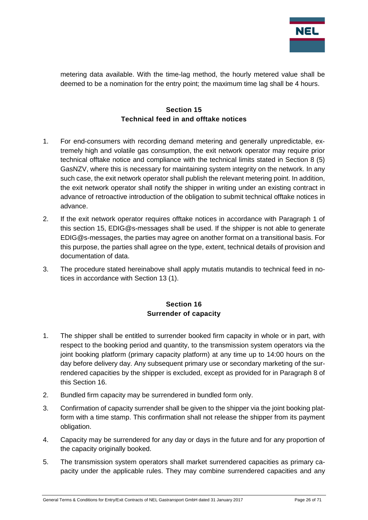

metering data available. With the time-lag method, the hourly metered value shall be deemed to be a nomination for the entry point; the maximum time lag shall be 4 hours.

#### **Section 15 Technical feed in and offtake notices**

- <span id="page-25-0"></span>1. For end-consumers with recording demand metering and generally unpredictable, extremely high and volatile gas consumption, the exit network operator may require prior technical offtake notice and compliance with the technical limits stated in Section 8 (5) GasNZV, where this is necessary for maintaining system integrity on the network. In any such case, the exit network operator shall publish the relevant metering point. In addition, the exit network operator shall notify the shipper in writing under an existing contract in advance of retroactive introduction of the obligation to submit technical offtake notices in advance.
- 2. If the exit network operator requires offtake notices in accordance with Paragraph 1 of this section 15, EDIG@s-messages shall be used. If the shipper is not able to generate EDIG@s-messages, the parties may agree on another format on a transitional basis. For this purpose, the parties shall agree on the type, extent, technical details of provision and documentation of data.
- 3. The procedure stated hereinabove shall apply mutatis mutandis to technical feed in notices in accordance with Section 13 (1).

## **Section 16 Surrender of capacity**

- <span id="page-25-1"></span>1. The shipper shall be entitled to surrender booked firm capacity in whole or in part, with respect to the booking period and quantity, to the transmission system operators via the joint booking platform (primary capacity platform) at any time up to 14:00 hours on the day before delivery day. Any subsequent primary use or secondary marketing of the surrendered capacities by the shipper is excluded, except as provided for in Paragraph 8 of this Section 16.
- 2. Bundled firm capacity may be surrendered in bundled form only.
- 3. Confirmation of capacity surrender shall be given to the shipper via the joint booking platform with a time stamp. This confirmation shall not release the shipper from its payment obligation.
- 4. Capacity may be surrendered for any day or days in the future and for any proportion of the capacity originally booked.
- 5. The transmission system operators shall market surrendered capacities as primary capacity under the applicable rules. They may combine surrendered capacities and any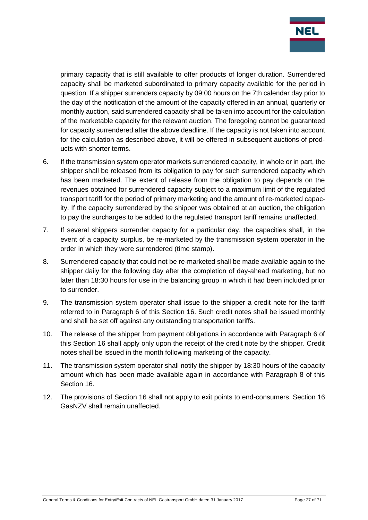

primary capacity that is still available to offer products of longer duration. Surrendered capacity shall be marketed subordinated to primary capacity available for the period in question. If a shipper surrenders capacity by 09:00 hours on the 7th calendar day prior to the day of the notification of the amount of the capacity offered in an annual, quarterly or monthly auction, said surrendered capacity shall be taken into account for the calculation of the marketable capacity for the relevant auction. The foregoing cannot be guaranteed for capacity surrendered after the above deadline. If the capacity is not taken into account for the calculation as described above, it will be offered in subsequent auctions of products with shorter terms.

- 6. If the transmission system operator markets surrendered capacity, in whole or in part, the shipper shall be released from its obligation to pay for such surrendered capacity which has been marketed. The extent of release from the obligation to pay depends on the revenues obtained for surrendered capacity subject to a maximum limit of the regulated transport tariff for the period of primary marketing and the amount of re-marketed capacity. If the capacity surrendered by the shipper was obtained at an auction, the obligation to pay the surcharges to be added to the regulated transport tariff remains unaffected.
- 7. If several shippers surrender capacity for a particular day, the capacities shall, in the event of a capacity surplus, be re-marketed by the transmission system operator in the order in which they were surrendered (time stamp).
- 8. Surrendered capacity that could not be re-marketed shall be made available again to the shipper daily for the following day after the completion of day-ahead marketing, but no later than 18:30 hours for use in the balancing group in which it had been included prior to surrender.
- 9. The transmission system operator shall issue to the shipper a credit note for the tariff referred to in Paragraph 6 of this Section 16. Such credit notes shall be issued monthly and shall be set off against any outstanding transportation tariffs.
- 10. The release of the shipper from payment obligations in accordance with Paragraph 6 of this Section 16 shall apply only upon the receipt of the credit note by the shipper. Credit notes shall be issued in the month following marketing of the capacity.
- 11. The transmission system operator shall notify the shipper by 18:30 hours of the capacity amount which has been made available again in accordance with Paragraph 8 of this Section 16.
- 12. The provisions of Section 16 shall not apply to exit points to end-consumers. Section 16 GasNZV shall remain unaffected.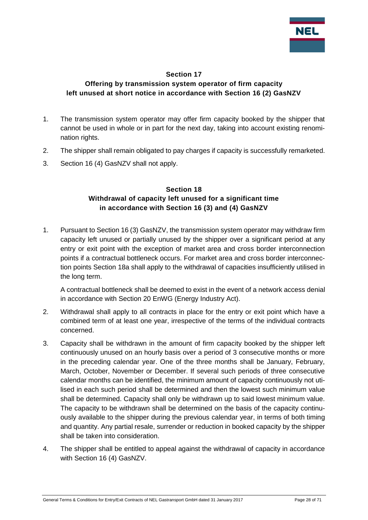

#### **Section 17**

#### <span id="page-27-0"></span>**Offering by transmission system operator of firm capacity left unused at short notice in accordance with Section 16 (2) GasNZV**

- 1. The transmission system operator may offer firm capacity booked by the shipper that cannot be used in whole or in part for the next day, taking into account existing renomination rights.
- 2. The shipper shall remain obligated to pay charges if capacity is successfully remarketed.
- <span id="page-27-1"></span>3. Section 16 (4) GasNZV shall not apply.

#### **Section 18 Withdrawal of capacity left unused for a significant time in accordance with Section 16 (3) and (4) GasNZV**

1. Pursuant to Section 16 (3) GasNZV, the transmission system operator may withdraw firm capacity left unused or partially unused by the shipper over a significant period at any entry or exit point with the exception of market area and cross border interconnection points if a contractual bottleneck occurs. For market area and cross border interconnection points Section 18a shall apply to the withdrawal of capacities insufficiently utilised in the long term.

A contractual bottleneck shall be deemed to exist in the event of a network access denial in accordance with Section 20 EnWG (Energy Industry Act).

- 2. Withdrawal shall apply to all contracts in place for the entry or exit point which have a combined term of at least one year, irrespective of the terms of the individual contracts concerned.
- 3. Capacity shall be withdrawn in the amount of firm capacity booked by the shipper left continuously unused on an hourly basis over a period of 3 consecutive months or more in the preceding calendar year. One of the three months shall be January, February, March, October, November or December. If several such periods of three consecutive calendar months can be identified, the minimum amount of capacity continuously not utilised in each such period shall be determined and then the lowest such minimum value shall be determined. Capacity shall only be withdrawn up to said lowest minimum value. The capacity to be withdrawn shall be determined on the basis of the capacity continuously available to the shipper during the previous calendar year, in terms of both timing and quantity. Any partial resale, surrender or reduction in booked capacity by the shipper shall be taken into consideration.
- 4. The shipper shall be entitled to appeal against the withdrawal of capacity in accordance with Section 16 (4) GasNZV.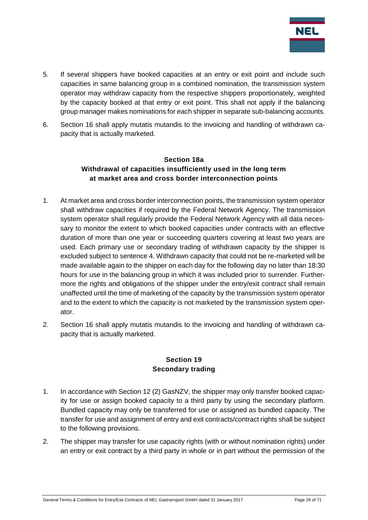

- 5. If several shippers have booked capacities at an entry or exit point and include such capacities in same balancing group in a combined nomination, the transmission system operator may withdraw capacity from the respective shippers proportionately, weighted by the capacity booked at that entry or exit point. This shall not apply if the balancing group manager makes nominations for each shipper in separate sub-balancing accounts.
- <span id="page-28-0"></span>6. Section 16 shall apply mutatis mutandis to the invoicing and handling of withdrawn capacity that is actually marketed.

#### **Section 18a Withdrawal of capacities insufficiently used in the long term at market area and cross border interconnection points**

- 1. At market area and cross border interconnection points, the transmission system operator shall withdraw capacities if required by the Federal Network Agency. The transmission system operator shall regularly provide the Federal Network Agency with all data necessary to monitor the extent to which booked capacities under contracts with an effective duration of more than one year or succeeding quarters covering at least two years are used. Each primary use or secondary trading of withdrawn capacity by the shipper is excluded subject to sentence 4. Withdrawn capacity that could not be re-marketed will be made available again to the shipper on each day for the following day no later than 18:30 hours for use in the balancing group in which it was included prior to surrender. Furthermore the rights and obligations of the shipper under the entry/exit contract shall remain unaffected until the time of marketing of the capacity by the transmission system operator and to the extent to which the capacity is not marketed by the transmission system operator.
- 2. Section 16 shall apply mutatis mutandis to the invoicing and handling of withdrawn capacity that is actually marketed.

#### **Section 19 Secondary trading**

- <span id="page-28-1"></span>1. In accordance with Section 12 (2) GasNZV, the shipper may only transfer booked capacity for use or assign booked capacity to a third party by using the secondary platform. Bundled capacity may only be transferred for use or assigned as bundled capacity. The transfer for use and assignment of entry and exit contracts/contract rights shall be subject to the following provisions.
- 2. The shipper may transfer for use capacity rights (with or without nomination rights) under an entry or exit contract by a third party in whole or in part without the permission of the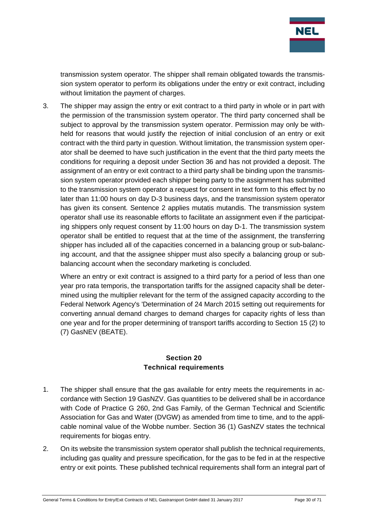

transmission system operator. The shipper shall remain obligated towards the transmission system operator to perform its obligations under the entry or exit contract, including without limitation the payment of charges.

3. The shipper may assign the entry or exit contract to a third party in whole or in part with the permission of the transmission system operator. The third party concerned shall be subject to approval by the transmission system operator. Permission may only be withheld for reasons that would justify the rejection of initial conclusion of an entry or exit contract with the third party in question. Without limitation, the transmission system operator shall be deemed to have such justification in the event that the third party meets the conditions for requiring a deposit under Section 36 and has not provided a deposit. The assignment of an entry or exit contract to a third party shall be binding upon the transmission system operator provided each shipper being party to the assignment has submitted to the transmission system operator a request for consent in text form to this effect by no later than 11:00 hours on day D-3 business days, and the transmission system operator has given its consent. Sentence 2 applies mutatis mutandis. The transmission system operator shall use its reasonable efforts to facilitate an assignment even if the participating shippers only request consent by 11:00 hours on day D-1. The transmission system operator shall be entitled to request that at the time of the assignment, the transferring shipper has included all of the capacities concerned in a balancing group or sub-balancing account, and that the assignee shipper must also specify a balancing group or subbalancing account when the secondary marketing is concluded.

Where an entry or exit contract is assigned to a third party for a period of less than one year pro rata temporis, the transportation tariffs for the assigned capacity shall be determined using the multiplier relevant for the term of the assigned capacity according to the Federal Network Agency's 'Determination of 24 March 2015 setting out requirements for converting annual demand charges to demand charges for capacity rights of less than one year and for the proper determining of transport tariffs according to Section 15 (2) to (7) GasNEV (BEATE).

#### **Section 20 Technical requirements**

- <span id="page-29-0"></span>1. The shipper shall ensure that the gas available for entry meets the requirements in accordance with Section 19 GasNZV. Gas quantities to be delivered shall be in accordance with Code of Practice G 260, 2nd Gas Family, of the German Technical and Scientific Association for Gas and Water (DVGW) as amended from time to time, and to the applicable nominal value of the Wobbe number. Section 36 (1) GasNZV states the technical requirements for biogas entry.
- 2. On its website the transmission system operator shall publish the technical requirements, including gas quality and pressure specification, for the gas to be fed in at the respective entry or exit points. These published technical requirements shall form an integral part of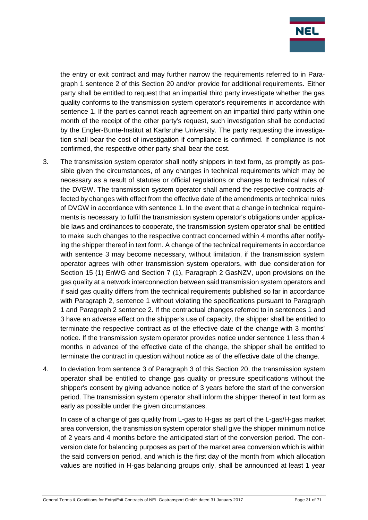

the entry or exit contract and may further narrow the requirements referred to in Paragraph 1 sentence 2 of this Section 20 and/or provide for additional requirements. Either party shall be entitled to request that an impartial third party investigate whether the gas quality conforms to the transmission system operator's requirements in accordance with sentence 1. If the parties cannot reach agreement on an impartial third party within one month of the receipt of the other party's request, such investigation shall be conducted by the Engler-Bunte-Institut at Karlsruhe University. The party requesting the investigation shall bear the cost of investigation if compliance is confirmed. If compliance is not confirmed, the respective other party shall bear the cost.

- 3. The transmission system operator shall notify shippers in text form, as promptly as possible given the circumstances, of any changes in technical requirements which may be necessary as a result of statutes or official regulations or changes to technical rules of the DVGW. The transmission system operator shall amend the respective contracts affected by changes with effect from the effective date of the amendments or technical rules of DVGW in accordance with sentence 1. In the event that a change in technical requirements is necessary to fulfil the transmission system operator's obligations under applicable laws and ordinances to cooperate, the transmission system operator shall be entitled to make such changes to the respective contract concerned within 4 months after notifying the shipper thereof in text form. A change of the technical requirements in accordance with sentence 3 may become necessary, without limitation, if the transmission system operator agrees with other transmission system operators, with due consideration for Section 15 (1) EnWG and Section 7 (1), Paragraph 2 GasNZV, upon provisions on the gas quality at a network interconnection between said transmission system operators and if said gas quality differs from the technical requirements published so far in accordance with Paragraph 2, sentence 1 without violating the specifications pursuant to Paragraph 1 and Paragraph 2 sentence 2. If the contractual changes referred to in sentences 1 and 3 have an adverse effect on the shipper's use of capacity, the shipper shall be entitled to terminate the respective contract as of the effective date of the change with 3 months' notice. If the transmission system operator provides notice under sentence 1 less than 4 months in advance of the effective date of the change, the shipper shall be entitled to terminate the contract in question without notice as of the effective date of the change.
- 4. In deviation from sentence 3 of Paragraph 3 of this Section 20, the transmission system operator shall be entitled to change gas quality or pressure specifications without the shipper's consent by giving advance notice of 3 years before the start of the conversion period. The transmission system operator shall inform the shipper thereof in text form as early as possible under the given circumstances.

In case of a change of gas quality from L-gas to H-gas as part of the L-gas/H-gas market area conversion, the transmission system operator shall give the shipper minimum notice of 2 years and 4 months before the anticipated start of the conversion period. The conversion date for balancing purposes as part of the market area conversion which is within the said conversion period, and which is the first day of the month from which allocation values are notified in H-gas balancing groups only, shall be announced at least 1 year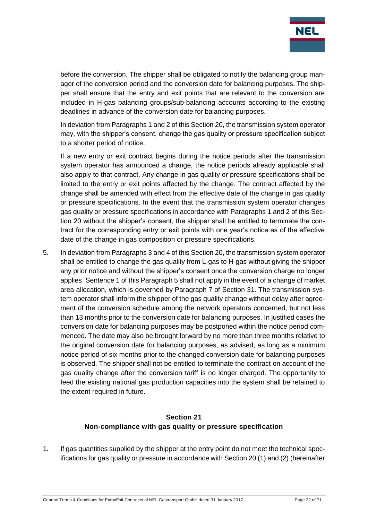

before the conversion. The shipper shall be obligated to notify the balancing group manager of the conversion period and the conversion date for balancing purposes. The shipper shall ensure that the entry and exit points that are relevant to the conversion are included in H-gas balancing groups/sub-balancing accounts according to the existing deadlines in advance of the conversion date for balancing purposes.

In deviation from Paragraphs 1 and 2 of this Section 20, the transmission system operator may, with the shipper's consent, change the gas quality or pressure specification subject to a shorter period of notice.

If a new entry or exit contract begins during the notice periods after the transmission system operator has announced a change, the notice periods already applicable shall also apply to that contract. Any change in gas quality or pressure specifications shall be limited to the entry or exit points affected by the change. The contract affected by the change shall be amended with effect from the effective date of the change in gas quality or pressure specifications. In the event that the transmission system operator changes gas quality or pressure specifications in accordance with Paragraphs 1 and 2 of this Section 20 without the shipper's consent, the shipper shall be entitled to terminate the contract for the corresponding entry or exit points with one year's notice as of the effective date of the change in gas composition or pressure specifications.

5. In deviation from Paragraphs 3 and 4 of this Section 20, the transmission system operator shall be entitled to change the gas quality from L-gas to H-gas without giving the shipper any prior notice and without the shipper's consent once the conversion charge no longer applies. Sentence 1 of this Paragraph 5 shall not apply in the event of a change of market area allocation, which is governed by Paragraph 7 of Section 31. The transmission system operator shall inform the shipper of the gas quality change without delay after agreement of the conversion schedule among the network operators concerned, but not less than 13 months prior to the conversion date for balancing purposes. In justified cases the conversion date for balancing purposes may be postponed within the notice period commenced. The date may also be brought forward by no more than three months relative to the original conversion date for balancing purposes, as advised, as long as a minimum notice period of six months prior to the changed conversion date for balancing purposes is observed. The shipper shall not be entitled to terminate the contract on account of the gas quality change after the conversion tariff is no longer charged. The opportunity to feed the existing national gas production capacities into the system shall be retained to the extent required in future.

## **Section 21 Non-compliance with gas quality or pressure specification**

<span id="page-31-0"></span>1. If gas quantities supplied by the shipper at the entry point do not meet the technical specifications for gas quality or pressure in accordance with Section 20 (1) and (2) (hereinafter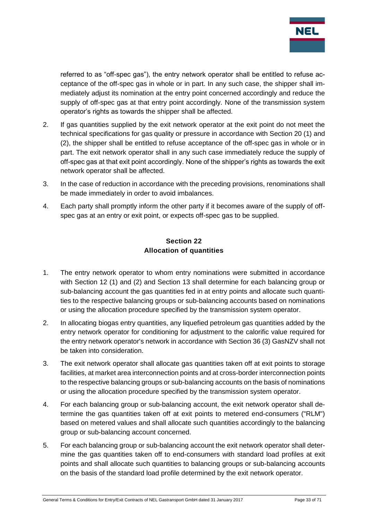

referred to as "off-spec gas"), the entry network operator shall be entitled to refuse acceptance of the off-spec gas in whole or in part. In any such case, the shipper shall immediately adjust its nomination at the entry point concerned accordingly and reduce the supply of off-spec gas at that entry point accordingly. None of the transmission system operator's rights as towards the shipper shall be affected.

- 2. If gas quantities supplied by the exit network operator at the exit point do not meet the technical specifications for gas quality or pressure in accordance with Section 20 (1) and (2), the shipper shall be entitled to refuse acceptance of the off-spec gas in whole or in part. The exit network operator shall in any such case immediately reduce the supply of off-spec gas at that exit point accordingly. None of the shipper's rights as towards the exit network operator shall be affected.
- 3. In the case of reduction in accordance with the preceding provisions, renominations shall be made immediately in order to avoid imbalances.
- 4. Each party shall promptly inform the other party if it becomes aware of the supply of offspec gas at an entry or exit point, or expects off-spec gas to be supplied.

#### **Section 22 Allocation of quantities**

- <span id="page-32-0"></span>1. The entry network operator to whom entry nominations were submitted in accordance with Section 12 (1) and (2) and Section 13 shall determine for each balancing group or sub-balancing account the gas quantities fed in at entry points and allocate such quantities to the respective balancing groups or sub-balancing accounts based on nominations or using the allocation procedure specified by the transmission system operator.
- 2. In allocating biogas entry quantities, any liquefied petroleum gas quantities added by the entry network operator for conditioning for adjustment to the calorific value required for the entry network operator's network in accordance with Section 36 (3) GasNZV shall not be taken into consideration.
- 3. The exit network operator shall allocate gas quantities taken off at exit points to storage facilities, at market area interconnection points and at cross-border interconnection points to the respective balancing groups or sub-balancing accounts on the basis of nominations or using the allocation procedure specified by the transmission system operator.
- 4. For each balancing group or sub-balancing account, the exit network operator shall determine the gas quantities taken off at exit points to metered end-consumers ("RLM") based on metered values and shall allocate such quantities accordingly to the balancing group or sub-balancing account concerned.
- 5. For each balancing group or sub-balancing account the exit network operator shall determine the gas quantities taken off to end-consumers with standard load profiles at exit points and shall allocate such quantities to balancing groups or sub-balancing accounts on the basis of the standard load profile determined by the exit network operator.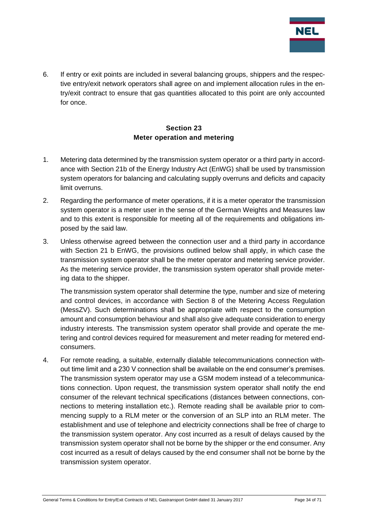

6. If entry or exit points are included in several balancing groups, shippers and the respective entry/exit network operators shall agree on and implement allocation rules in the entry/exit contract to ensure that gas quantities allocated to this point are only accounted for once.

## **Section 23 Meter operation and metering**

- <span id="page-33-0"></span>1. Metering data determined by the transmission system operator or a third party in accordance with Section 21b of the Energy Industry Act (EnWG) shall be used by transmission system operators for balancing and calculating supply overruns and deficits and capacity limit overruns.
- 2. Regarding the performance of meter operations, if it is a meter operator the transmission system operator is a meter user in the sense of the German Weights and Measures law and to this extent is responsible for meeting all of the requirements and obligations imposed by the said law.
- 3. Unless otherwise agreed between the connection user and a third party in accordance with Section 21 b EnWG, the provisions outlined below shall apply, in which case the transmission system operator shall be the meter operator and metering service provider. As the metering service provider, the transmission system operator shall provide metering data to the shipper.

The transmission system operator shall determine the type, number and size of metering and control devices, in accordance with Section 8 of the Metering Access Regulation (MessZV). Such determinations shall be appropriate with respect to the consumption amount and consumption behaviour and shall also give adequate consideration to energy industry interests. The transmission system operator shall provide and operate the metering and control devices required for measurement and meter reading for metered endconsumers.

4. For remote reading, a suitable, externally dialable telecommunications connection without time limit and a 230 V connection shall be available on the end consumer's premises. The transmission system operator may use a GSM modem instead of a telecommunications connection. Upon request, the transmission system operator shall notify the end consumer of the relevant technical specifications (distances between connections, connections to metering installation etc.). Remote reading shall be available prior to commencing supply to a RLM meter or the conversion of an SLP into an RLM meter. The establishment and use of telephone and electricity connections shall be free of charge to the transmission system operator. Any cost incurred as a result of delays caused by the transmission system operator shall not be borne by the shipper or the end consumer. Any cost incurred as a result of delays caused by the end consumer shall not be borne by the transmission system operator.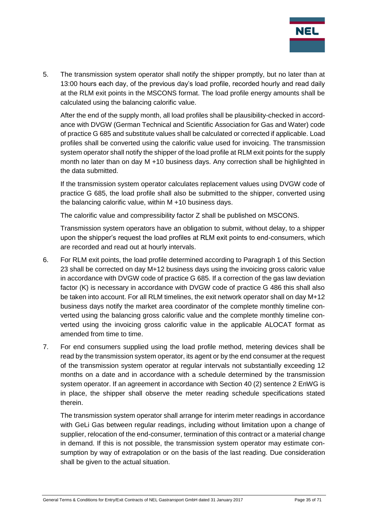

5. The transmission system operator shall notify the shipper promptly, but no later than at 13:00 hours each day, of the previous day's load profile, recorded hourly and read daily at the RLM exit points in the MSCONS format. The load profile energy amounts shall be calculated using the balancing calorific value.

After the end of the supply month, all load profiles shall be plausibility-checked in accordance with DVGW (German Technical and Scientific Association for Gas and Water) code of practice G 685 and substitute values shall be calculated or corrected if applicable. Load profiles shall be converted using the calorific value used for invoicing. The transmission system operator shall notify the shipper of the load profile at RLM exit points for the supply month no later than on day M +10 business days. Any correction shall be highlighted in the data submitted.

If the transmission system operator calculates replacement values using DVGW code of practice G 685, the load profile shall also be submitted to the shipper, converted using the balancing calorific value, within M +10 business days.

The calorific value and compressibility factor Z shall be published on MSCONS.

Transmission system operators have an obligation to submit, without delay, to a shipper upon the shipper's request the load profiles at RLM exit points to end-consumers, which are recorded and read out at hourly intervals.

- 6. For RLM exit points, the load profile determined according to Paragraph 1 of this Section 23 shall be corrected on day M+12 business days using the invoicing gross caloric value in accordance with DVGW code of practice G 685. If a correction of the gas law deviation factor (K) is necessary in accordance with DVGW code of practice G 486 this shall also be taken into account. For all RLM timelines, the exit network operator shall on day M+12 business days notify the market area coordinator of the complete monthly timeline converted using the balancing gross calorific value and the complete monthly timeline converted using the invoicing gross calorific value in the applicable ALOCAT format as amended from time to time.
- 7. For end consumers supplied using the load profile method, metering devices shall be read by the transmission system operator, its agent or by the end consumer at the request of the transmission system operator at regular intervals not substantially exceeding 12 months on a date and in accordance with a schedule determined by the transmission system operator. If an agreement in accordance with Section 40 (2) sentence 2 EnWG is in place, the shipper shall observe the meter reading schedule specifications stated therein.

The transmission system operator shall arrange for interim meter readings in accordance with GeLi Gas between regular readings, including without limitation upon a change of supplier, relocation of the end-consumer, termination of this contract or a material change in demand. If this is not possible, the transmission system operator may estimate consumption by way of extrapolation or on the basis of the last reading. Due consideration shall be given to the actual situation.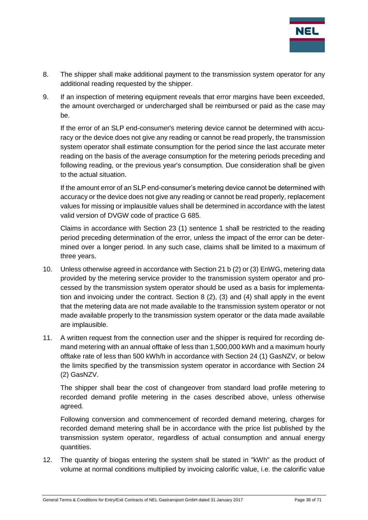

- 8. The shipper shall make additional payment to the transmission system operator for any additional reading requested by the shipper.
- 9. If an inspection of metering equipment reveals that error margins have been exceeded, the amount overcharged or undercharged shall be reimbursed or paid as the case may be.

If the error of an SLP end-consumer's metering device cannot be determined with accuracy or the device does not give any reading or cannot be read properly, the transmission system operator shall estimate consumption for the period since the last accurate meter reading on the basis of the average consumption for the metering periods preceding and following reading, or the previous year's consumption. Due consideration shall be given to the actual situation.

If the amount error of an SLP end-consumer's metering device cannot be determined with accuracy or the device does not give any reading or cannot be read properly, replacement values for missing or implausible values shall be determined in accordance with the latest valid version of DVGW code of practice G 685.

Claims in accordance with Section 23 (1) sentence 1 shall be restricted to the reading period preceding determination of the error, unless the impact of the error can be determined over a longer period. In any such case, claims shall be limited to a maximum of three years.

- 10. Unless otherwise agreed in accordance with Section 21 b (2) or (3) EnWG, metering data provided by the metering service provider to the transmission system operator and processed by the transmission system operator should be used as a basis for implementation and invoicing under the contract. Section 8 (2), (3) and (4) shall apply in the event that the metering data are not made available to the transmission system operator or not made available properly to the transmission system operator or the data made available are implausible.
- 11. A written request from the connection user and the shipper is required for recording demand metering with an annual offtake of less than 1,500,000 kWh and a maximum hourly offtake rate of less than 500 kWh/h in accordance with Section 24 (1) GasNZV, or below the limits specified by the transmission system operator in accordance with Section 24 (2) GasNZV.

The shipper shall bear the cost of changeover from standard load profile metering to recorded demand profile metering in the cases described above, unless otherwise agreed.

Following conversion and commencement of recorded demand metering, charges for recorded demand metering shall be in accordance with the price list published by the transmission system operator, regardless of actual consumption and annual energy quantities.

12. The quantity of biogas entering the system shall be stated in "kWh" as the product of volume at normal conditions multiplied by invoicing calorific value, i.e. the calorific value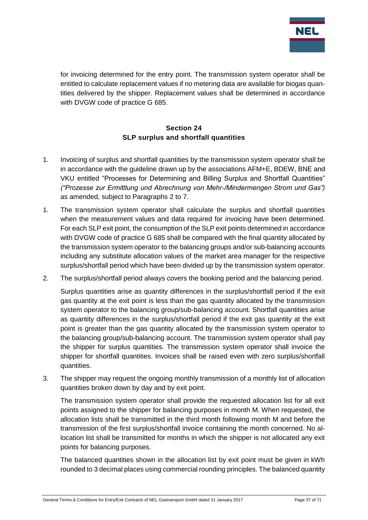

for invoicing determined for the entry point. The transmission system operator shall be entitled to calculate replacement values if no metering data are available for biogas quantities delivered by the shipper. Replacement values shall be determined in accordance with DVGW code of practice G 685.

#### **Section 24 SLP surplus and shortfall quantities**

- <span id="page-36-0"></span>1. Invoicing of surplus and shortfall quantities by the transmission system operator shall be in accordance with the guideline drawn up by the associations AFM+E, BDEW, BNE and VKU entitled "Processes for Determining and Billing Surplus and Shortfall Quantities" *("Prozesse zur Ermittlung und Abrechnung von Mehr-/Mindermengen Strom und Gas")* as amended, subject to Paragraphs 2 to 7.
- 1. The transmission system operator shall calculate the surplus and shortfall quantities when the measurement values and data required for invoicing have been determined. For each SLP exit point, the consumption of the SLP exit points determined in accordance with DVGW code of practice G 685 shall be compared with the final quantity allocated by the transmission system operator to the balancing groups and/or sub-balancing accounts including any substitute allocation values of the market area manager for the respective surplus/shortfall period which have been divided up by the transmission system operator.
- 2. The surplus/shortfall period always covers the booking period and the balancing period.

Surplus quantities arise as quantity differences in the surplus/shortfall period if the exit gas quantity at the exit point is less than the gas quantity allocated by the transmission system operator to the balancing group/sub-balancing account. Shortfall quantities arise as quantity differences in the surplus/shortfall period if the exit gas quantity at the exit point is greater than the gas quantity allocated by the transmission system operator to the balancing group/sub-balancing account. The transmission system operator shall pay the shipper for surplus quantities. The transmission system operator shall invoice the shipper for shortfall quantities. Invoices shall be raised even with zero surplus/shortfall quantities.

3. The shipper may request the ongoing monthly transmission of a monthly list of allocation quantities broken down by day and by exit point.

The transmission system operator shall provide the requested allocation list for all exit points assigned to the shipper for balancing purposes in month M. When requested, the allocation lists shall be transmitted in the third month following month M and before the transmission of the first surplus/shortfall invoice containing the month concerned. No allocation list shall be transmitted for months in which the shipper is not allocated any exit points for balancing purposes.

The balanced quantities shown in the allocation list by exit point must be given in kWh rounded to 3 decimal places using commercial rounding principles. The balanced quantity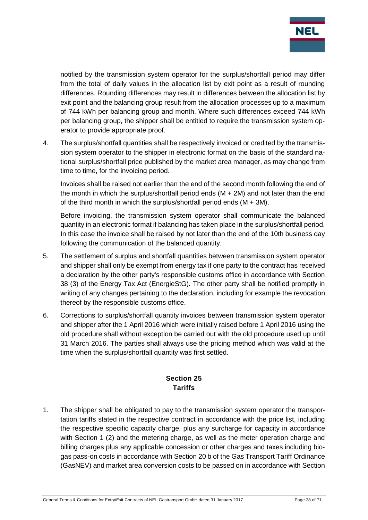

notified by the transmission system operator for the surplus/shortfall period may differ from the total of daily values in the allocation list by exit point as a result of rounding differences. Rounding differences may result in differences between the allocation list by exit point and the balancing group result from the allocation processes up to a maximum of 744 kWh per balancing group and month. Where such differences exceed 744 kWh per balancing group, the shipper shall be entitled to require the transmission system operator to provide appropriate proof.

4. The surplus/shortfall quantities shall be respectively invoiced or credited by the transmission system operator to the shipper in electronic format on the basis of the standard national surplus/shortfall price published by the market area manager, as may change from time to time, for the invoicing period.

Invoices shall be raised not earlier than the end of the second month following the end of the month in which the surplus/shortfall period ends (M + 2M) and not later than the end of the third month in which the surplus/shortfall period ends  $(M + 3M)$ .

Before invoicing, the transmission system operator shall communicate the balanced quantity in an electronic format if balancing has taken place in the surplus/shortfall period. In this case the invoice shall be raised by not later than the end of the 10th business day following the communication of the balanced quantity.

- 5. The settlement of surplus and shortfall quantities between transmission system operator and shipper shall only be exempt from energy tax if one party to the contract has received a declaration by the other party's responsible customs office in accordance with Section 38 (3) of the Energy Tax Act (EnergieStG). The other party shall be notified promptly in writing of any changes pertaining to the declaration, including for example the revocation thereof by the responsible customs office.
- 6. Corrections to surplus/shortfall quantity invoices between transmission system operator and shipper after the 1 April 2016 which were initially raised before 1 April 2016 using the old procedure shall without exception be carried out with the old procedure used up until 31 March 2016. The parties shall always use the pricing method which was valid at the time when the surplus/shortfall quantity was first settled.

## **Section 25 Tariffs**

<span id="page-37-0"></span>1. The shipper shall be obligated to pay to the transmission system operator the transportation tariffs stated in the respective contract in accordance with the price list, including the respective specific capacity charge, plus any surcharge for capacity in accordance with Section 1 (2) and the metering charge, as well as the meter operation charge and billing charges plus any applicable concession or other charges and taxes including biogas pass-on costs in accordance with Section 20 b of the Gas Transport Tariff Ordinance (GasNEV) and market area conversion costs to be passed on in accordance with Section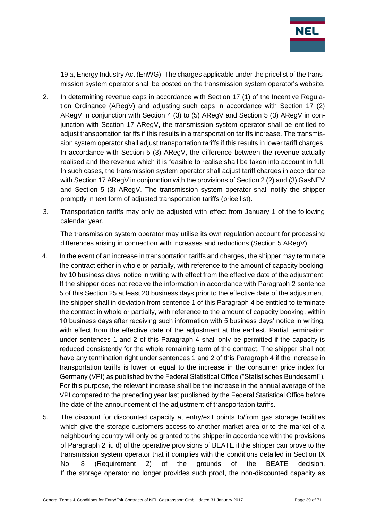

19 a, Energy Industry Act (EnWG). The charges applicable under the pricelist of the transmission system operator shall be posted on the transmission system operator's website.

- 2. In determining revenue caps in accordance with Section 17 (1) of the Incentive Regulation Ordinance (ARegV) and adjusting such caps in accordance with Section 17 (2) ARegV in conjunction with Section 4 (3) to (5) ARegV and Section 5 (3) ARegV in conjunction with Section 17 ARegV, the transmission system operator shall be entitled to adjust transportation tariffs if this results in a transportation tariffs increase. The transmission system operator shall adjust transportation tariffs if this results in lower tariff charges. In accordance with Section 5 (3) ARegV, the difference between the revenue actually realised and the revenue which it is feasible to realise shall be taken into account in full. In such cases, the transmission system operator shall adjust tariff charges in accordance with Section 17 ARegV in conjunction with the provisions of Section 2 (2) and (3) GasNEV and Section 5 (3) ARegV. The transmission system operator shall notify the shipper promptly in text form of adjusted transportation tariffs (price list).
- 3. Transportation tariffs may only be adjusted with effect from January 1 of the following calendar year.

The transmission system operator may utilise its own regulation account for processing differences arising in connection with increases and reductions (Section 5 ARegV).

- 4. In the event of an increase in transportation tariffs and charges, the shipper may terminate the contract either in whole or partially, with reference to the amount of capacity booking, by 10 business days' notice in writing with effect from the effective date of the adjustment. If the shipper does not receive the information in accordance with Paragraph 2 sentence 5 of this Section 25 at least 20 business days prior to the effective date of the adjustment, the shipper shall in deviation from sentence 1 of this Paragraph 4 be entitled to terminate the contract in whole or partially, with reference to the amount of capacity booking, within 10 business days after receiving such information with 5 business days' notice in writing, with effect from the effective date of the adjustment at the earliest. Partial termination under sentences 1 and 2 of this Paragraph 4 shall only be permitted if the capacity is reduced consistently for the whole remaining term of the contract. The shipper shall not have any termination right under sentences 1 and 2 of this Paragraph 4 if the increase in transportation tariffs is lower or equal to the increase in the consumer price index for Germany (VPI) as published by the Federal Statistical Office ("Statistisches Bundesamt"). For this purpose, the relevant increase shall be the increase in the annual average of the VPI compared to the preceding year last published by the Federal Statistical Office before the date of the announcement of the adjustment of transportation tariffs.
- 5. The discount for discounted capacity at entry/exit points to/from gas storage facilities which give the storage customers access to another market area or to the market of a neighbouring country will only be granted to the shipper in accordance with the provisions of Paragraph 2 lit. d) of the operative provisions of BEATE if the shipper can prove to the transmission system operator that it complies with the conditions detailed in Section IX No. 8 (Requirement 2) of the grounds of the BEATE decision. If the storage operator no longer provides such proof, the non-discounted capacity as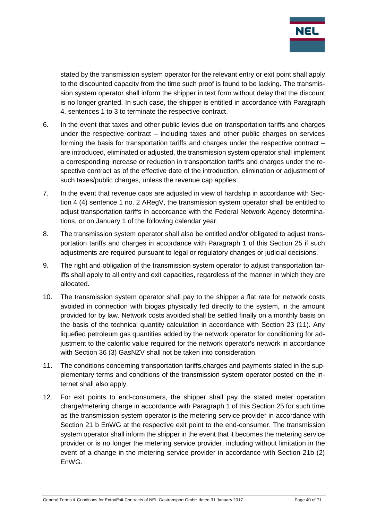

stated by the transmission system operator for the relevant entry or exit point shall apply to the discounted capacity from the time such proof is found to be lacking. The transmission system operator shall inform the shipper in text form without delay that the discount is no longer granted. In such case, the shipper is entitled in accordance with Paragraph 4, sentences 1 to 3 to terminate the respective contract.

- 6. In the event that taxes and other public levies due on transportation tariffs and charges under the respective contract – including taxes and other public charges on services forming the basis for transportation tariffs and charges under the respective contract – are introduced, eliminated or adjusted, the transmission system operator shall implement a corresponding increase or reduction in transportation tariffs and charges under the respective contract as of the effective date of the introduction, elimination or adjustment of such taxes/public charges, unless the revenue cap applies.
- 7. In the event that revenue caps are adjusted in view of hardship in accordance with Section 4 (4) sentence 1 no. 2 ARegV, the transmission system operator shall be entitled to adjust transportation tariffs in accordance with the Federal Network Agency determinations, or on January 1 of the following calendar year.
- 8. The transmission system operator shall also be entitled and/or obligated to adjust transportation tariffs and charges in accordance with Paragraph 1 of this Section 25 if such adjustments are required pursuant to legal or regulatory changes or judicial decisions.
- 9. The right and obligation of the transmission system operator to adjust transportation tariffs shall apply to all entry and exit capacities, regardless of the manner in which they are allocated.
- 10. The transmission system operator shall pay to the shipper a flat rate for network costs avoided in connection with biogas physically fed directly to the system, in the amount provided for by law. Network costs avoided shall be settled finally on a monthly basis on the basis of the technical quantity calculation in accordance with Section 23 (11). Any liquefied petroleum gas quantities added by the network operator for conditioning for adjustment to the calorific value required for the network operator's network in accordance with Section 36 (3) GasNZV shall not be taken into consideration.
- 11. The conditions concerning transportation tariffs,charges and payments stated in the supplementary terms and conditions of the transmission system operator posted on the internet shall also apply.
- 12. For exit points to end-consumers, the shipper shall pay the stated meter operation charge/metering charge in accordance with Paragraph 1 of this Section 25 for such time as the transmission system operator is the metering service provider in accordance with Section 21 b EnWG at the respective exit point to the end-consumer. The transmission system operator shall inform the shipper in the event that it becomes the metering service provider or is no longer the metering service provider, including without limitation in the event of a change in the metering service provider in accordance with Section 21b (2) EnWG.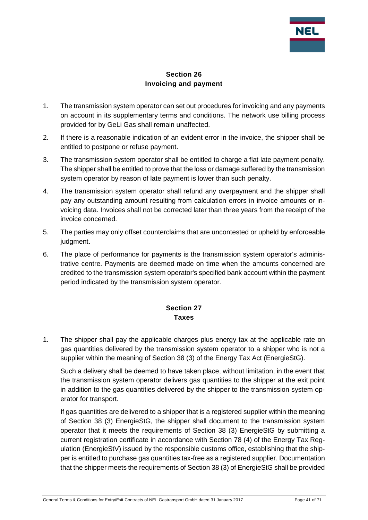

#### **Section 26 Invoicing and payment**

- <span id="page-40-0"></span>1. The transmission system operator can set out procedures for invoicing and any payments on account in its supplementary terms and conditions. The network use billing process provided for by GeLi Gas shall remain unaffected.
- 2. If there is a reasonable indication of an evident error in the invoice, the shipper shall be entitled to postpone or refuse payment.
- 3. The transmission system operator shall be entitled to charge a flat late payment penalty. The shipper shall be entitled to prove that the loss or damage suffered by the transmission system operator by reason of late payment is lower than such penalty.
- 4. The transmission system operator shall refund any overpayment and the shipper shall pay any outstanding amount resulting from calculation errors in invoice amounts or invoicing data. Invoices shall not be corrected later than three years from the receipt of the invoice concerned.
- 5. The parties may only offset counterclaims that are uncontested or upheld by enforceable judament.
- 6. The place of performance for payments is the transmission system operator's administrative centre. Payments are deemed made on time when the amounts concerned are credited to the transmission system operator's specified bank account within the payment period indicated by the transmission system operator.

## **Section 27 Taxes**

<span id="page-40-1"></span>1. The shipper shall pay the applicable charges plus energy tax at the applicable rate on gas quantities delivered by the transmission system operator to a shipper who is not a supplier within the meaning of Section 38 (3) of the Energy Tax Act (EnergieStG).

Such a delivery shall be deemed to have taken place, without limitation, in the event that the transmission system operator delivers gas quantities to the shipper at the exit point in addition to the gas quantities delivered by the shipper to the transmission system operator for transport.

If gas quantities are delivered to a shipper that is a registered supplier within the meaning of Section 38 (3) EnergieStG, the shipper shall document to the transmission system operator that it meets the requirements of Section 38 (3) EnergieStG by submitting a current registration certificate in accordance with Section 78 (4) of the Energy Tax Regulation (EnergieStV) issued by the responsible customs office, establishing that the shipper is entitled to purchase gas quantities tax-free as a registered supplier. Documentation that the shipper meets the requirements of Section 38 (3) of EnergieStG shall be provided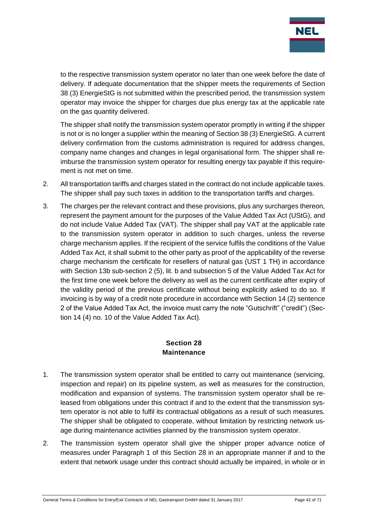

to the respective transmission system operator no later than one week before the date of delivery. If adequate documentation that the shipper meets the requirements of Section 38 (3) EnergieStG is not submitted within the prescribed period, the transmission system operator may invoice the shipper for charges due plus energy tax at the applicable rate on the gas quantity delivered.

The shipper shall notify the transmission system operator promptly in writing if the shipper is not or is no longer a supplier within the meaning of Section 38 (3) EnergieStG. A current delivery confirmation from the customs administration is required for address changes, company name changes and changes in legal organisational form. The shipper shall reimburse the transmission system operator for resulting energy tax payable if this requirement is not met on time.

- 2. All transportation tariffs and charges stated in the contract do not include applicable taxes. The shipper shall pay such taxes in addition to the transportation tariffs and charges.
- 3. The charges per the relevant contract and these provisions, plus any surcharges thereon, represent the payment amount for the purposes of the Value Added Tax Act (UStG), and do not include Value Added Tax (VAT). The shipper shall pay VAT at the applicable rate to the transmission system operator in addition to such charges, unless the reverse charge mechanism applies. If the recipient of the service fulfils the conditions of the Value Added Tax Act, it shall submit to the other party as proof of the applicability of the reverse charge mechanism the certificate for resellers of natural gas (UST 1 TH) in accordance with Section 13b sub-section 2 (5), lit. b and subsection 5 of the Value Added Tax Act for the first time one week before the delivery as well as the current certificate after expiry of the validity period of the previous certificate without being explicitly asked to do so. If invoicing is by way of a credit note procedure in accordance with Section 14 (2) sentence 2 of the Value Added Tax Act, the invoice must carry the note "Gutschrift" ("credit") (Section 14 (4) no. 10 of the Value Added Tax Act).

#### **Section 28 Maintenance**

- <span id="page-41-0"></span>1. The transmission system operator shall be entitled to carry out maintenance (servicing, inspection and repair) on its pipeline system, as well as measures for the construction, modification and expansion of systems. The transmission system operator shall be released from obligations under this contract if and to the extent that the transmission system operator is not able to fulfil its contractual obligations as a result of such measures. The shipper shall be obligated to cooperate, without limitation by restricting network usage during maintenance activities planned by the transmission system operator.
- 2. The transmission system operator shall give the shipper proper advance notice of measures under Paragraph 1 of this Section 28 in an appropriate manner if and to the extent that network usage under this contract should actually be impaired, in whole or in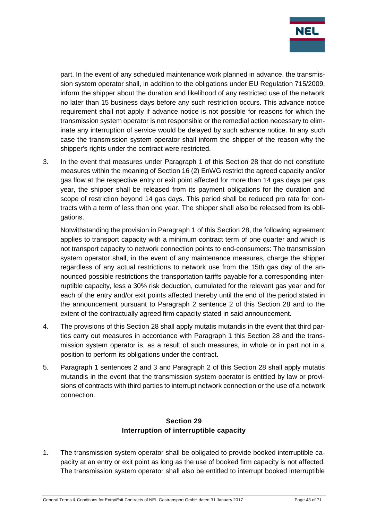

part. In the event of any scheduled maintenance work planned in advance, the transmission system operator shall, in addition to the obligations under EU Regulation 715/2009, inform the shipper about the duration and likelihood of any restricted use of the network no later than 15 business days before any such restriction occurs. This advance notice requirement shall not apply if advance notice is not possible for reasons for which the transmission system operator is not responsible or the remedial action necessary to eliminate any interruption of service would be delayed by such advance notice. In any such case the transmission system operator shall inform the shipper of the reason why the shipper's rights under the contract were restricted.

3. In the event that measures under Paragraph 1 of this Section 28 that do not constitute measures within the meaning of Section 16 (2) EnWG restrict the agreed capacity and/or gas flow at the respective entry or exit point affected for more than 14 gas days per gas year, the shipper shall be released from its payment obligations for the duration and scope of restriction beyond 14 gas days. This period shall be reduced pro rata for contracts with a term of less than one year. The shipper shall also be released from its obligations.

Notwithstanding the provision in Paragraph 1 of this Section 28, the following agreement applies to transport capacity with a minimum contract term of one quarter and which is not transport capacity to network connection points to end-consumers: The transmission system operator shall, in the event of any maintenance measures, charge the shipper regardless of any actual restrictions to network use from the 15th gas day of the announced possible restrictions the transportation tariffs payable for a corresponding interruptible capacity, less a 30% risk deduction, cumulated for the relevant gas year and for each of the entry and/or exit points affected thereby until the end of the period stated in the announcement pursuant to Paragraph 2 sentence 2 of this Section 28 and to the extent of the contractually agreed firm capacity stated in said announcement.

- 4. The provisions of this Section 28 shall apply mutatis mutandis in the event that third parties carry out measures in accordance with Paragraph 1 this Section 28 and the transmission system operator is, as a result of such measures, in whole or in part not in a position to perform its obligations under the contract.
- 5. Paragraph 1 sentences 2 and 3 and Paragraph 2 of this Section 28 shall apply mutatis mutandis in the event that the transmission system operator is entitled by law or provisions of contracts with third parties to interrupt network connection or the use of a network connection.

## **Section 29 Interruption of interruptible capacity**

<span id="page-42-0"></span>1. The transmission system operator shall be obligated to provide booked interruptible capacity at an entry or exit point as long as the use of booked firm capacity is not affected. The transmission system operator shall also be entitled to interrupt booked interruptible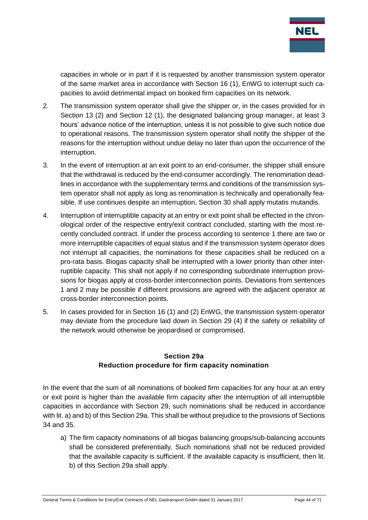

capacities in whole or in part if it is requested by another transmission system operator of the same market area in accordance with Section 16 (1), EnWG to interrupt such capacities to avoid detrimental impact on booked firm capacities on its network.

- 2. The transmission system operator shall give the shipper or, in the cases provided for in Section 13 (2) and Section 12 (1), the designated balancing group manager, at least 3 hours' advance notice of the interruption, unless it is not possible to give such notice due to operational reasons. The transmission system operator shall notify the shipper of the reasons for the interruption without undue delay no later than upon the occurrence of the interruption.
- 3. In the event of interruption at an exit point to an end-consumer, the shipper shall ensure that the withdrawal is reduced by the end-consumer accordingly. The renomination deadlines in accordance with the supplementary terms and conditions of the transmission system operator shall not apply as long as renomination is technically and operationally feasible. If use continues despite an interruption, Section 30 shall apply mutatis mutandis.
- 4. Interruption of interruptible capacity at an entry or exit point shall be effected in the chronological order of the respective entry/exit contract concluded, starting with the most recently concluded contract. If under the process according to sentence 1 there are two or more interruptible capacities of equal status and if the transmission system operator does not interrupt all capacities, the nominations for these capacities shall be reduced on a pro-rata basis. Biogas capacity shall be interrupted with a lower priority than other interruptible capacity. This shall not apply if no corresponding subordinate interruption provisions for biogas apply at cross-border interconnection points. Deviations from sentences 1 and 2 may be possible if different provisions are agreed with the adjacent operator at cross-border interconnection points.
- 5. In cases provided for in Section 16 (1) and (2) EnWG, the transmission system operator may deviate from the procedure laid down in Section 29 (4) if the safety or reliability of the network would otherwise be jeopardised or compromised.

## **Section 29a Reduction procedure for firm capacity nomination**

<span id="page-43-0"></span>In the event that the sum of all nominations of booked firm capacities for any hour at an entry or exit point is higher than the available firm capacity after the interruption of all interruptible capacities in accordance with Section 29, such nominations shall be reduced in accordance with lit. a) and b) of this Section 29a. This shall be without prejudice to the provisions of Sections 34 and 35.

a) The firm capacity nominations of all biogas balancing groups/sub-balancing accounts shall be considered preferentially. Such nominations shall not be reduced provided that the available capacity is sufficient. If the available capacity is insufficient, then lit. b) of this Section 29a shall apply.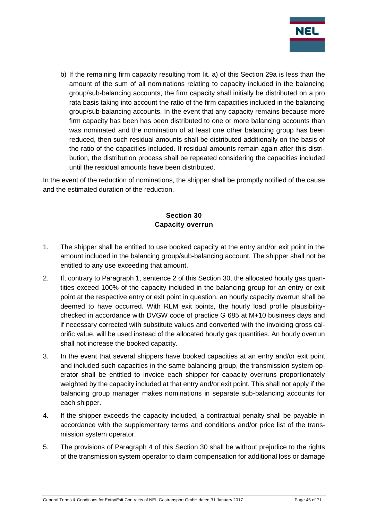

b) If the remaining firm capacity resulting from lit. a) of this Section 29a is less than the amount of the sum of all nominations relating to capacity included in the balancing group/sub-balancing accounts, the firm capacity shall initially be distributed on a pro rata basis taking into account the ratio of the firm capacities included in the balancing group/sub-balancing accounts. In the event that any capacity remains because more firm capacity has been has been distributed to one or more balancing accounts than was nominated and the nomination of at least one other balancing group has been reduced, then such residual amounts shall be distributed additionally on the basis of the ratio of the capacities included. If residual amounts remain again after this distribution, the distribution process shall be repeated considering the capacities included until the residual amounts have been distributed.

In the event of the reduction of nominations, the shipper shall be promptly notified of the cause and the estimated duration of the reduction.

## **Section 30 Capacity overrun**

- <span id="page-44-0"></span>1. The shipper shall be entitled to use booked capacity at the entry and/or exit point in the amount included in the balancing group/sub-balancing account. The shipper shall not be entitled to any use exceeding that amount.
- 2. If, contrary to Paragraph 1, sentence 2 of this Section 30, the allocated hourly gas quantities exceed 100% of the capacity included in the balancing group for an entry or exit point at the respective entry or exit point in question, an hourly capacity overrun shall be deemed to have occurred. With RLM exit points, the hourly load profile plausibilitychecked in accordance with DVGW code of practice G 685 at M+10 business days and if necessary corrected with substitute values and converted with the invoicing gross calorific value, will be used instead of the allocated hourly gas quantities. An hourly overrun shall not increase the booked capacity.
- 3. In the event that several shippers have booked capacities at an entry and/or exit point and included such capacities in the same balancing group, the transmission system operator shall be entitled to invoice each shipper for capacity overruns proportionately weighted by the capacity included at that entry and/or exit point. This shall not apply if the balancing group manager makes nominations in separate sub-balancing accounts for each shipper.
- 4. If the shipper exceeds the capacity included, a contractual penalty shall be payable in accordance with the supplementary terms and conditions and/or price list of the transmission system operator.
- 5. The provisions of Paragraph 4 of this Section 30 shall be without prejudice to the rights of the transmission system operator to claim compensation for additional loss or damage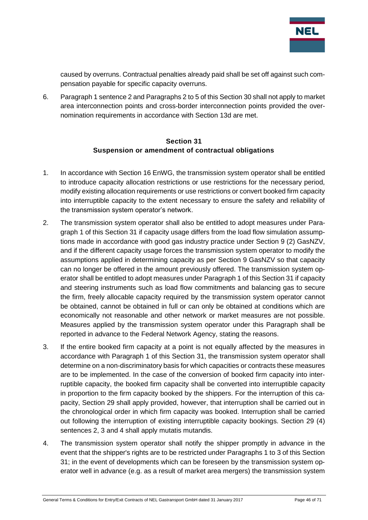

caused by overruns. Contractual penalties already paid shall be set off against such compensation payable for specific capacity overruns.

6. Paragraph 1 sentence 2 and Paragraphs 2 to 5 of this Section 30 shall not apply to market area interconnection points and cross-border interconnection points provided the overnomination requirements in accordance with Section 13d are met.

#### **Section 31 Suspension or amendment of contractual obligations**

- <span id="page-45-0"></span>1. In accordance with Section 16 EnWG, the transmission system operator shall be entitled to introduce capacity allocation restrictions or use restrictions for the necessary period, modify existing allocation requirements or use restrictions or convert booked firm capacity into interruptible capacity to the extent necessary to ensure the safety and reliability of the transmission system operator's network.
- 2. The transmission system operator shall also be entitled to adopt measures under Paragraph 1 of this Section 31 if capacity usage differs from the load flow simulation assumptions made in accordance with good gas industry practice under Section 9 (2) GasNZV, and if the different capacity usage forces the transmission system operator to modify the assumptions applied in determining capacity as per Section 9 GasNZV so that capacity can no longer be offered in the amount previously offered. The transmission system operator shall be entitled to adopt measures under Paragraph 1 of this Section 31 if capacity and steering instruments such as load flow commitments and balancing gas to secure the firm, freely allocable capacity required by the transmission system operator cannot be obtained, cannot be obtained in full or can only be obtained at conditions which are economically not reasonable and other network or market measures are not possible. Measures applied by the transmission system operator under this Paragraph shall be reported in advance to the Federal Network Agency, stating the reasons.
- 3. If the entire booked firm capacity at a point is not equally affected by the measures in accordance with Paragraph 1 of this Section 31, the transmission system operator shall determine on a non-discriminatory basis for which capacities or contracts these measures are to be implemented. In the case of the conversion of booked firm capacity into interruptible capacity, the booked firm capacity shall be converted into interruptible capacity in proportion to the firm capacity booked by the shippers. For the interruption of this capacity, Section 29 shall apply provided, however, that interruption shall be carried out in the chronological order in which firm capacity was booked. Interruption shall be carried out following the interruption of existing interruptible capacity bookings. Section 29 (4) sentences 2, 3 and 4 shall apply mutatis mutandis.
- 4. The transmission system operator shall notify the shipper promptly in advance in the event that the shipper's rights are to be restricted under Paragraphs 1 to 3 of this Section 31; in the event of developments which can be foreseen by the transmission system operator well in advance (e.g. as a result of market area mergers) the transmission system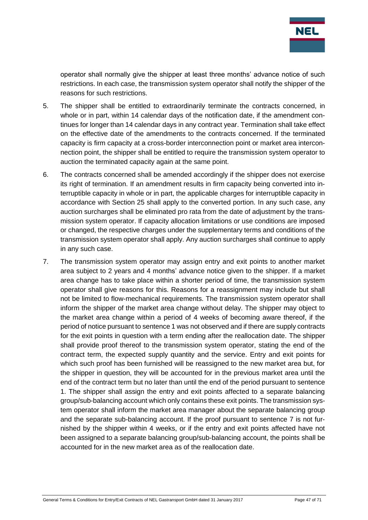

operator shall normally give the shipper at least three months' advance notice of such restrictions. In each case, the transmission system operator shall notify the shipper of the reasons for such restrictions.

- 5. The shipper shall be entitled to extraordinarily terminate the contracts concerned, in whole or in part, within 14 calendar days of the notification date, if the amendment continues for longer than 14 calendar days in any contract year. Termination shall take effect on the effective date of the amendments to the contracts concerned. If the terminated capacity is firm capacity at a cross-border interconnection point or market area interconnection point, the shipper shall be entitled to require the transmission system operator to auction the terminated capacity again at the same point.
- 6. The contracts concerned shall be amended accordingly if the shipper does not exercise its right of termination. If an amendment results in firm capacity being converted into interruptible capacity in whole or in part, the applicable charges for interruptible capacity in accordance with Section 25 shall apply to the converted portion. In any such case, any auction surcharges shall be eliminated pro rata from the date of adjustment by the transmission system operator. If capacity allocation limitations or use conditions are imposed or changed, the respective charges under the supplementary terms and conditions of the transmission system operator shall apply. Any auction surcharges shall continue to apply in any such case.
- 7. The transmission system operator may assign entry and exit points to another market area subject to 2 years and 4 months' advance notice given to the shipper. If a market area change has to take place within a shorter period of time, the transmission system operator shall give reasons for this. Reasons for a reassignment may include but shall not be limited to flow-mechanical requirements. The transmission system operator shall inform the shipper of the market area change without delay. The shipper may object to the market area change within a period of 4 weeks of becoming aware thereof, if the period of notice pursuant to sentence 1 was not observed and if there are supply contracts for the exit points in question with a term ending after the reallocation date. The shipper shall provide proof thereof to the transmission system operator, stating the end of the contract term, the expected supply quantity and the service. Entry and exit points for which such proof has been furnished will be reassigned to the new market area but, for the shipper in question, they will be accounted for in the previous market area until the end of the contract term but no later than until the end of the period pursuant to sentence 1. The shipper shall assign the entry and exit points affected to a separate balancing group/sub-balancing account which only contains these exit points. The transmission system operator shall inform the market area manager about the separate balancing group and the separate sub-balancing account. If the proof pursuant to sentence 7 is not furnished by the shipper within 4 weeks, or if the entry and exit points affected have not been assigned to a separate balancing group/sub-balancing account, the points shall be accounted for in the new market area as of the reallocation date.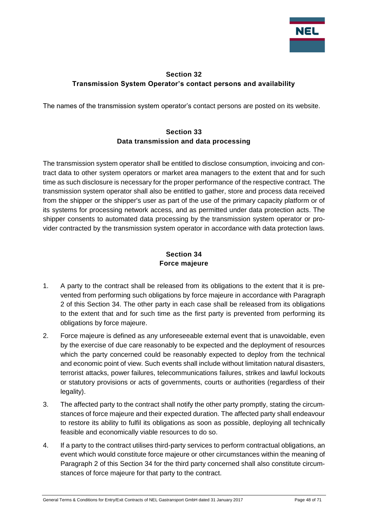

## <span id="page-47-0"></span>**Section 32 Transmission System Operator's contact persons and availability**

<span id="page-47-1"></span>The names of the transmission system operator's contact persons are posted on its website.

## **Section 33 Data transmission and data processing**

The transmission system operator shall be entitled to disclose consumption, invoicing and contract data to other system operators or market area managers to the extent that and for such time as such disclosure is necessary for the proper performance of the respective contract. The transmission system operator shall also be entitled to gather, store and process data received from the shipper or the shipper's user as part of the use of the primary capacity platform or of its systems for processing network access, and as permitted under data protection acts. The shipper consents to automated data processing by the transmission system operator or provider contracted by the transmission system operator in accordance with data protection laws.

## **Section 34 Force majeure**

- <span id="page-47-2"></span>1. A party to the contract shall be released from its obligations to the extent that it is prevented from performing such obligations by force majeure in accordance with Paragraph 2 of this Section 34. The other party in each case shall be released from its obligations to the extent that and for such time as the first party is prevented from performing its obligations by force majeure.
- 2. Force majeure is defined as any unforeseeable external event that is unavoidable, even by the exercise of due care reasonably to be expected and the deployment of resources which the party concerned could be reasonably expected to deploy from the technical and economic point of view. Such events shall include without limitation natural disasters, terrorist attacks, power failures, telecommunications failures, strikes and lawful lockouts or statutory provisions or acts of governments, courts or authorities (regardless of their legality).
- 3. The affected party to the contract shall notify the other party promptly, stating the circumstances of force majeure and their expected duration. The affected party shall endeavour to restore its ability to fulfil its obligations as soon as possible, deploying all technically feasible and economically viable resources to do so.
- 4. If a party to the contract utilises third-party services to perform contractual obligations, an event which would constitute force majeure or other circumstances within the meaning of Paragraph 2 of this Section 34 for the third party concerned shall also constitute circumstances of force majeure for that party to the contract.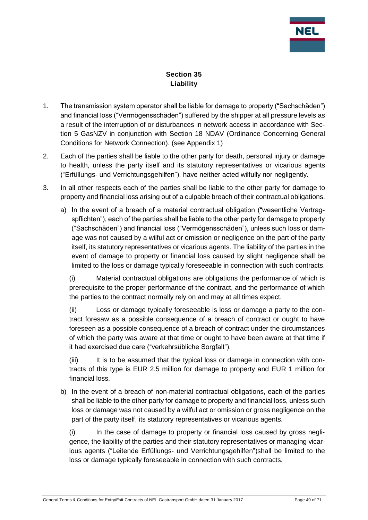

## **Section 35 Liability**

- <span id="page-48-0"></span>1. The transmission system operator shall be liable for damage to property ("Sachschäden") and financial loss ("Vermögensschäden") suffered by the shipper at all pressure levels as a result of the interruption of or disturbances in network access in accordance with Section 5 GasNZV in conjunction with Section 18 NDAV (Ordinance Concerning General Conditions for Network Connection). (see Appendix 1)
- 2. Each of the parties shall be liable to the other party for death, personal injury or damage to health, unless the party itself and its statutory representatives or vicarious agents ("Erfüllungs- und Verrichtungsgehilfen"), have neither acted wilfully nor negligently.
- 3. In all other respects each of the parties shall be liable to the other party for damage to property and financial loss arising out of a culpable breach of their contractual obligations.
	- a) In the event of a breach of a material contractual obligation ("wesentliche Vertragspflichten"), each of the parties shall be liable to the other party for damage to property ("Sachschäden") and financial loss ("Vermögensschäden"), unless such loss or damage was not caused by a wilful act or omission or negligence on the part of the party itself, its statutory representatives or vicarious agents. The liability of the parties in the event of damage to property or financial loss caused by slight negligence shall be limited to the loss or damage typically foreseeable in connection with such contracts.

(i) Material contractual obligations are obligations the performance of which is prerequisite to the proper performance of the contract, and the performance of which the parties to the contract normally rely on and may at all times expect.

(ii) Loss or damage typically foreseeable is loss or damage a party to the contract foresaw as a possible consequence of a breach of contract or ought to have foreseen as a possible consequence of a breach of contract under the circumstances of which the party was aware at that time or ought to have been aware at that time if it had exercised due care ("verkehrsübliche Sorgfalt").

(iii) It is to be assumed that the typical loss or damage in connection with contracts of this type is EUR 2.5 million for damage to property and EUR 1 million for financial loss.

b) In the event of a breach of non-material contractual obligations, each of the parties shall be liable to the other party for damage to property and financial loss, unless such loss or damage was not caused by a wilful act or omission or gross negligence on the part of the party itself, its statutory representatives or vicarious agents.

(i) In the case of damage to property or financial loss caused by gross negligence, the liability of the parties and their statutory representatives or managing vicarious agents ("Leitende Erfüllungs- und Verrichtungsgehilfen")shall be limited to the loss or damage typically foreseeable in connection with such contracts.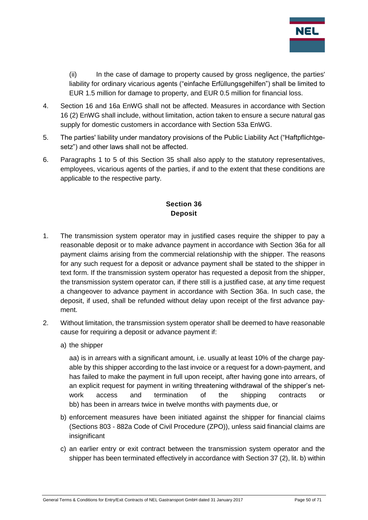

(ii) In the case of damage to property caused by gross negligence, the parties' liability for ordinary vicarious agents ("einfache Erfüllungsgehilfen") shall be limited to EUR 1.5 million for damage to property, and EUR 0.5 million for financial loss.

- 4. Section 16 and 16a EnWG shall not be affected. Measures in accordance with Section 16 (2) EnWG shall include, without limitation, action taken to ensure a secure natural gas supply for domestic customers in accordance with Section 53a EnWG.
- 5. The parties' liability under mandatory provisions of the Public Liability Act ("Haftpflichtgesetz") and other laws shall not be affected.
- 6. Paragraphs 1 to 5 of this Section 35 shall also apply to the statutory representatives, employees, vicarious agents of the parties, if and to the extent that these conditions are applicable to the respective party.

## **Section 36 Deposit**

- <span id="page-49-0"></span>1. The transmission system operator may in justified cases require the shipper to pay a reasonable deposit or to make advance payment in accordance with Section 36a for all payment claims arising from the commercial relationship with the shipper. The reasons for any such request for a deposit or advance payment shall be stated to the shipper in text form. If the transmission system operator has requested a deposit from the shipper, the transmission system operator can, if there still is a justified case, at any time request a changeover to advance payment in accordance with Section 36a. In such case, the deposit, if used, shall be refunded without delay upon receipt of the first advance payment.
- 2. Without limitation, the transmission system operator shall be deemed to have reasonable cause for requiring a deposit or advance payment if:
	- a) the shipper

aa) is in arrears with a significant amount, i.e. usually at least 10% of the charge payable by this shipper according to the last invoice or a request for a down-payment, and has failed to make the payment in full upon receipt, after having gone into arrears, of an explicit request for payment in writing threatening withdrawal of the shipper's network access and termination of the shipping contracts or bb) has been in arrears twice in twelve months with payments due, or

- b) enforcement measures have been initiated against the shipper for financial claims (Sections 803 - 882a Code of Civil Procedure (ZPO)), unless said financial claims are insignificant
- c) an earlier entry or exit contract between the transmission system operator and the shipper has been terminated effectively in accordance with Section 37 (2), lit. b) within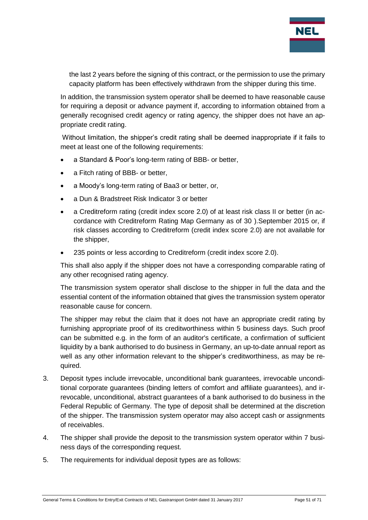

the last 2 years before the signing of this contract, or the permission to use the primary capacity platform has been effectively withdrawn from the shipper during this time.

In addition, the transmission system operator shall be deemed to have reasonable cause for requiring a deposit or advance payment if, according to information obtained from a generally recognised credit agency or rating agency, the shipper does not have an appropriate credit rating.

Without limitation, the shipper's credit rating shall be deemed inappropriate if it fails to meet at least one of the following requirements:

- a Standard & Poor's long-term rating of BBB- or better,
- a Fitch rating of BBB- or better,
- a Moody's long-term rating of Baa3 or better, or,
- a Dun & Bradstreet Risk Indicator 3 or better
- a Creditreform rating (credit index score 2.0) of at least risk class II or better (in accordance with Creditreform Rating Map Germany as of 30 ).September 2015 or, if risk classes according to Creditreform (credit index score 2.0) are not available for the shipper,
- 235 points or less according to Creditreform (credit index score 2.0).

This shall also apply if the shipper does not have a corresponding comparable rating of any other recognised rating agency.

The transmission system operator shall disclose to the shipper in full the data and the essential content of the information obtained that gives the transmission system operator reasonable cause for concern.

The shipper may rebut the claim that it does not have an appropriate credit rating by furnishing appropriate proof of its creditworthiness within 5 business days. Such proof can be submitted e.g. in the form of an auditor's certificate, a confirmation of sufficient liquidity by a bank authorised to do business in Germany, an up-to-date annual report as well as any other information relevant to the shipper's creditworthiness, as may be required.

- 3. Deposit types include irrevocable, unconditional bank guarantees, irrevocable unconditional corporate guarantees (binding letters of comfort and affiliate guarantees), and irrevocable, unconditional, abstract guarantees of a bank authorised to do business in the Federal Republic of Germany. The type of deposit shall be determined at the discretion of the shipper. The transmission system operator may also accept cash or assignments of receivables.
- 4. The shipper shall provide the deposit to the transmission system operator within 7 business days of the corresponding request.
- 5. The requirements for individual deposit types are as follows: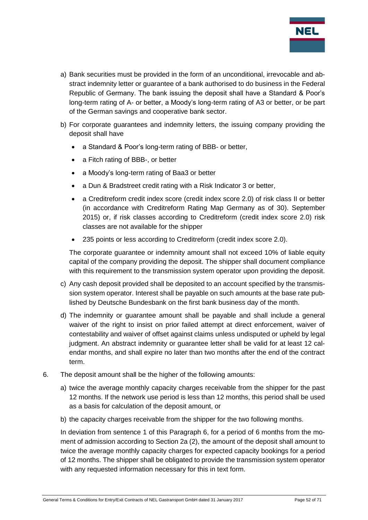

- a) Bank securities must be provided in the form of an unconditional, irrevocable and abstract indemnity letter or guarantee of a bank authorised to do business in the Federal Republic of Germany. The bank issuing the deposit shall have a Standard & Poor's long-term rating of A- or better, a Moody's long-term rating of A3 or better, or be part of the German savings and cooperative bank sector.
- b) For corporate guarantees and indemnity letters, the issuing company providing the deposit shall have
	- a Standard & Poor's long-term rating of BBB- or better,
	- a Fitch rating of BBB-, or better
	- a Moody's long-term rating of Baa3 or better
	- a Dun & Bradstreet credit rating with a Risk Indicator 3 or better,
	- a Creditreform credit index score (credit index score 2.0) of risk class II or better (in accordance with Creditreform Rating Map Germany as of 30). September 2015) or, if risk classes according to Creditreform (credit index score 2.0) risk classes are not available for the shipper
	- 235 points or less according to Creditreform (credit index score 2.0).

The corporate guarantee or indemnity amount shall not exceed 10% of liable equity capital of the company providing the deposit. The shipper shall document compliance with this requirement to the transmission system operator upon providing the deposit.

- c) Any cash deposit provided shall be deposited to an account specified by the transmission system operator. Interest shall be payable on such amounts at the base rate published by Deutsche Bundesbank on the first bank business day of the month.
- d) The indemnity or guarantee amount shall be payable and shall include a general waiver of the right to insist on prior failed attempt at direct enforcement, waiver of contestability and waiver of offset against claims unless undisputed or upheld by legal judgment. An abstract indemnity or guarantee letter shall be valid for at least 12 calendar months, and shall expire no later than two months after the end of the contract term.
- 6. The deposit amount shall be the higher of the following amounts:
	- a) twice the average monthly capacity charges receivable from the shipper for the past 12 months. If the network use period is less than 12 months, this period shall be used as a basis for calculation of the deposit amount, or
	- b) the capacity charges receivable from the shipper for the two following months.

In deviation from sentence 1 of this Paragraph 6, for a period of 6 months from the moment of admission according to Section 2a (2), the amount of the deposit shall amount to twice the average monthly capacity charges for expected capacity bookings for a period of 12 months. The shipper shall be obligated to provide the transmission system operator with any requested information necessary for this in text form.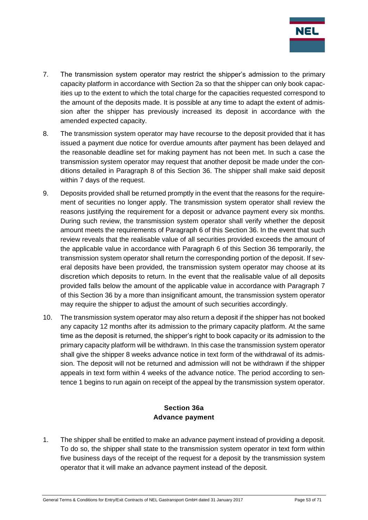

- 7. The transmission system operator may restrict the shipper's admission to the primary capacity platform in accordance with Section 2a so that the shipper can only book capacities up to the extent to which the total charge for the capacities requested correspond to the amount of the deposits made. It is possible at any time to adapt the extent of admission after the shipper has previously increased its deposit in accordance with the amended expected capacity.
- 8. The transmission system operator may have recourse to the deposit provided that it has issued a payment due notice for overdue amounts after payment has been delayed and the reasonable deadline set for making payment has not been met. In such a case the transmission system operator may request that another deposit be made under the conditions detailed in Paragraph 8 of this Section 36. The shipper shall make said deposit within 7 days of the request.
- 9. Deposits provided shall be returned promptly in the event that the reasons for the requirement of securities no longer apply. The transmission system operator shall review the reasons justifying the requirement for a deposit or advance payment every six months. During such review, the transmission system operator shall verify whether the deposit amount meets the requirements of Paragraph 6 of this Section 36. In the event that such review reveals that the realisable value of all securities provided exceeds the amount of the applicable value in accordance with Paragraph 6 of this Section 36 temporarily, the transmission system operator shall return the corresponding portion of the deposit. If several deposits have been provided, the transmission system operator may choose at its discretion which deposits to return. In the event that the realisable value of all deposits provided falls below the amount of the applicable value in accordance with Paragraph 7 of this Section 36 by a more than insignificant amount, the transmission system operator may require the shipper to adjust the amount of such securities accordingly.
- 10. The transmission system operator may also return a deposit if the shipper has not booked any capacity 12 months after its admission to the primary capacity platform. At the same time as the deposit is returned, the shipper's right to book capacity or its admission to the primary capacity platform will be withdrawn. In this case the transmission system operator shall give the shipper 8 weeks advance notice in text form of the withdrawal of its admission. The deposit will not be returned and admission will not be withdrawn if the shipper appeals in text form within 4 weeks of the advance notice. The period according to sentence 1 begins to run again on receipt of the appeal by the transmission system operator.

#### **Section 36a Advance payment**

<span id="page-52-0"></span>1. The shipper shall be entitled to make an advance payment instead of providing a deposit. To do so, the shipper shall state to the transmission system operator in text form within five business days of the receipt of the request for a deposit by the transmission system operator that it will make an advance payment instead of the deposit.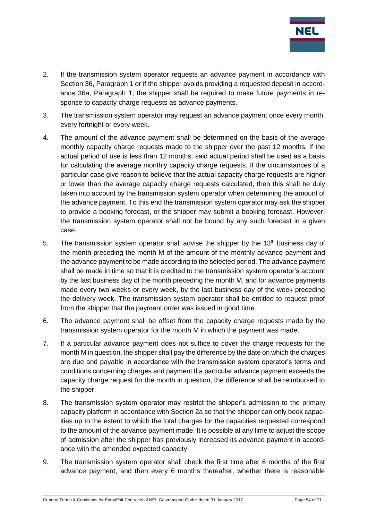

- 2. If the transmission system operator requests an advance payment in accordance with Section 36, Paragraph 1 or if the shipper avoids providing a requested deposit in accordance 36a, Paragraph 1, the shipper shall be required to make future payments in response to capacity charge requests as advance payments.
- 3. The transmission system operator may request an advance payment once every month, every fortnight or every week.
- 4. The amount of the advance payment shall be determined on the basis of the average monthly capacity charge requests made to the shipper over the past 12 months. If the actual period of use is less than 12 months, said actual period shall be used as a basis for calculating the average monthly capacity charge requests. If the circumstances of a particular case give reason to believe that the actual capacity charge requests are higher or lower than the average capacity charge requests calculated, then this shall be duly taken into account by the transmission system operator when determining the amount of the advance payment. To this end the transmission system operator may ask the shipper to provide a booking forecast, or the shipper may submit a booking forecast. However, the transmission system operator shall not be bound by any such forecast in a given case.
- 5. The transmission system operator shall advise the shipper by the 13<sup>th</sup> business day of the month preceding the month M of the amount of the monthly advance payment and the advance payment to be made according to the selected period. The advance payment shall be made in time so that it is credited to the transmission system operator's account by the last business day of the month preceding the month M, and for advance payments made every two weeks or every week, by the last business day of the week preceding the delivery week. The transmission system operator shall be entitled to request proof from the shipper that the payment order was issued in good time.
- 6. The advance payment shall be offset from the capacity charge requests made by the transmission system operator for the month M in which the payment was made.
- 7. If a particular advance payment does not suffice to cover the charge requests for the month M in question, the shipper shall pay the difference by the date on which the charges are due and payable in accordance with the transmission system operator's terms and conditions concerning charges and payment If a particular advance payment exceeds the capacity charge request for the month in question, the difference shall be reimbursed to the shipper.
- 8. The transmission system operator may restrict the shipper's admission to the primary capacity platform in accordance with Section 2a so that the shipper can only book capacities up to the extent to which the total charges for the capacities requested correspond to the amount of the advance payment made. It is possible at any time to adjust the scope of admission after the shipper has previously increased its advance payment in accordance with the amended expected capacity.
- 9. The transmission system operator shall check the first time after 6 months of the first advance payment, and then every 6 months thereafter, whether there is reasonable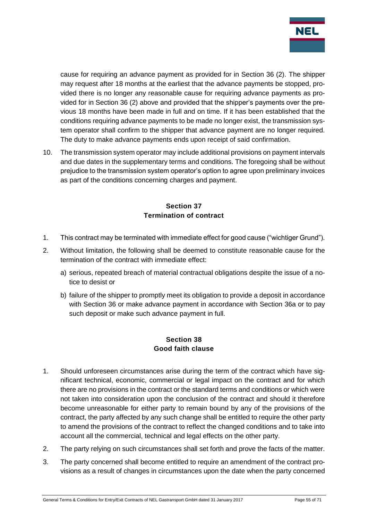

cause for requiring an advance payment as provided for in Section 36 (2). The shipper may request after 18 months at the earliest that the advance payments be stopped, provided there is no longer any reasonable cause for requiring advance payments as provided for in Section 36 (2) above and provided that the shipper's payments over the previous 18 months have been made in full and on time. If it has been established that the conditions requiring advance payments to be made no longer exist, the transmission system operator shall confirm to the shipper that advance payment are no longer required. The duty to make advance payments ends upon receipt of said confirmation.

10. The transmission system operator may include additional provisions on payment intervals and due dates in the supplementary terms and conditions. The foregoing shall be without prejudice to the transmission system operator's option to agree upon preliminary invoices as part of the conditions concerning charges and payment.

## **Section 37 Termination of contract**

- <span id="page-54-0"></span>1. This contract may be terminated with immediate effect for good cause ("wichtiger Grund").
- 2. Without limitation, the following shall be deemed to constitute reasonable cause for the termination of the contract with immediate effect:
	- a) serious, repeated breach of material contractual obligations despite the issue of a notice to desist or
	- b) failure of the shipper to promptly meet its obligation to provide a deposit in accordance with Section 36 or make advance payment in accordance with Section 36a or to pay such deposit or make such advance payment in full.

## **Section 38 Good faith clause**

- <span id="page-54-1"></span>1. Should unforeseen circumstances arise during the term of the contract which have significant technical, economic, commercial or legal impact on the contract and for which there are no provisions in the contract or the standard terms and conditions or which were not taken into consideration upon the conclusion of the contract and should it therefore become unreasonable for either party to remain bound by any of the provisions of the contract, the party affected by any such change shall be entitled to require the other party to amend the provisions of the contract to reflect the changed conditions and to take into account all the commercial, technical and legal effects on the other party.
- 2. The party relying on such circumstances shall set forth and prove the facts of the matter.
- 3. The party concerned shall become entitled to require an amendment of the contract provisions as a result of changes in circumstances upon the date when the party concerned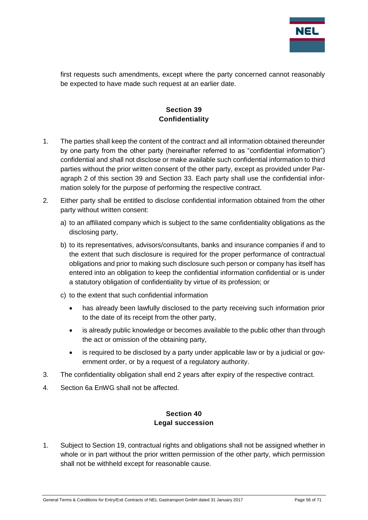

first requests such amendments, except where the party concerned cannot reasonably be expected to have made such request at an earlier date.

## **Section 39 Confidentiality**

- <span id="page-55-0"></span>1. The parties shall keep the content of the contract and all information obtained thereunder by one party from the other party (hereinafter referred to as "confidential information") confidential and shall not disclose or make available such confidential information to third parties without the prior written consent of the other party, except as provided under Paragraph 2 of this section 39 and Section 33. Each party shall use the confidential information solely for the purpose of performing the respective contract.
- 2. Either party shall be entitled to disclose confidential information obtained from the other party without written consent:
	- a) to an affiliated company which is subject to the same confidentiality obligations as the disclosing party,
	- b) to its representatives, advisors/consultants, banks and insurance companies if and to the extent that such disclosure is required for the proper performance of contractual obligations and prior to making such disclosure such person or company has itself has entered into an obligation to keep the confidential information confidential or is under a statutory obligation of confidentiality by virtue of its profession; or
	- c) to the extent that such confidential information
		- has already been lawfully disclosed to the party receiving such information prior to the date of its receipt from the other party,
		- is already public knowledge or becomes available to the public other than through the act or omission of the obtaining party,
		- is required to be disclosed by a party under applicable law or by a judicial or government order, or by a request of a regulatory authority.
- 3. The confidentiality obligation shall end 2 years after expiry of the respective contract.
- <span id="page-55-1"></span>4. Section 6a EnWG shall not be affected.

#### **Section 40 Legal succession**

1. Subject to Section 19, contractual rights and obligations shall not be assigned whether in whole or in part without the prior written permission of the other party, which permission shall not be withheld except for reasonable cause.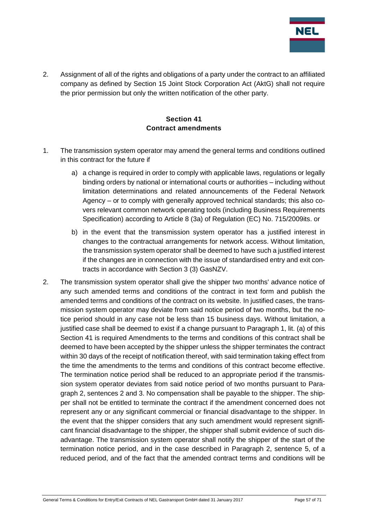

2. Assignment of all of the rights and obligations of a party under the contract to an affiliated company as defined by Section 15 Joint Stock Corporation Act (AktG) shall not require the prior permission but only the written notification of the other party.

#### **Section 41 Contract amendments**

- <span id="page-56-0"></span>1. The transmission system operator may amend the general terms and conditions outlined in this contract for the future if
	- a) a change is required in order to comply with applicable laws, requiations or legally binding orders by national or international courts or authorities – including without limitation determinations and related announcements of the Federal Network Agency – or to comply with generally approved technical standards; this also covers relevant common network operating tools (including Business Requirements Specification) according to Article 8 (3a) of Regulation (EC) No. 715/2009its. or
	- b) in the event that the transmission system operator has a justified interest in changes to the contractual arrangements for network access. Without limitation, the transmission system operator shall be deemed to have such a justified interest if the changes are in connection with the issue of standardised entry and exit contracts in accordance with Section 3 (3) GasNZV.
- 2. The transmission system operator shall give the shipper two months' advance notice of any such amended terms and conditions of the contract in text form and publish the amended terms and conditions of the contract on its website. In justified cases, the transmission system operator may deviate from said notice period of two months, but the notice period should in any case not be less than 15 business days. Without limitation, a justified case shall be deemed to exist if a change pursuant to Paragraph 1, lit. (a) of this Section 41 is required Amendments to the terms and conditions of this contract shall be deemed to have been accepted by the shipper unless the shipper terminates the contract within 30 days of the receipt of notification thereof, with said termination taking effect from the time the amendments to the terms and conditions of this contract become effective. The termination notice period shall be reduced to an appropriate period if the transmission system operator deviates from said notice period of two months pursuant to Paragraph 2, sentences 2 and 3. No compensation shall be payable to the shipper. The shipper shall not be entitled to terminate the contract if the amendment concerned does not represent any or any significant commercial or financial disadvantage to the shipper. In the event that the shipper considers that any such amendment would represent significant financial disadvantage to the shipper, the shipper shall submit evidence of such disadvantage. The transmission system operator shall notify the shipper of the start of the termination notice period, and in the case described in Paragraph 2, sentence 5, of a reduced period, and of the fact that the amended contract terms and conditions will be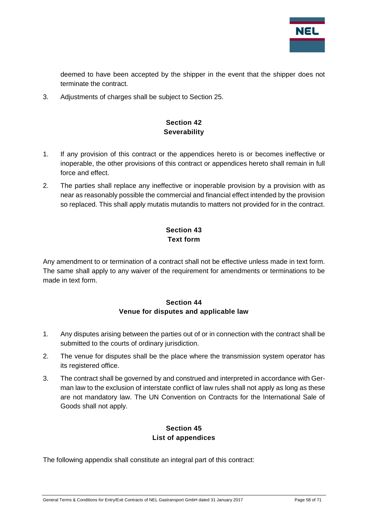

deemed to have been accepted by the shipper in the event that the shipper does not terminate the contract.

<span id="page-57-0"></span>3. Adjustments of charges shall be subject to Section 25.

## **Section 42 Severability**

- 1. If any provision of this contract or the appendices hereto is or becomes ineffective or inoperable, the other provisions of this contract or appendices hereto shall remain in full force and effect.
- 2. The parties shall replace any ineffective or inoperable provision by a provision with as near as reasonably possible the commercial and financial effect intended by the provision so replaced. This shall apply mutatis mutandis to matters not provided for in the contract.

## **Section 43 Text form**

<span id="page-57-1"></span>Any amendment to or termination of a contract shall not be effective unless made in text form. The same shall apply to any waiver of the requirement for amendments or terminations to be made in text form.

#### **Section 44 Venue for disputes and applicable law**

- <span id="page-57-2"></span>1. Any disputes arising between the parties out of or in connection with the contract shall be submitted to the courts of ordinary jurisdiction.
- 2. The venue for disputes shall be the place where the transmission system operator has its registered office.
- 3. The contract shall be governed by and construed and interpreted in accordance with German law to the exclusion of interstate conflict of law rules shall not apply as long as these are not mandatory law. The UN Convention on Contracts for the International Sale of Goods shall not apply.

## **Section 45 List of appendices**

<span id="page-57-3"></span>The following appendix shall constitute an integral part of this contract: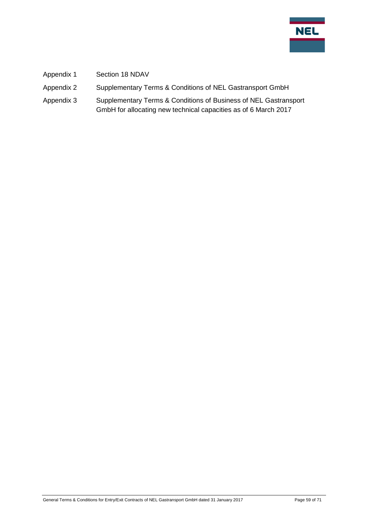

- Appendix 1 Section 18 NDAV
- Appendix 2 Supplementary Terms & Conditions of NEL Gastransport GmbH
- Appendix 3 Supplementary Terms & Conditions of Business of NEL Gastransport GmbH for allocating new technical capacities as of 6 March 2017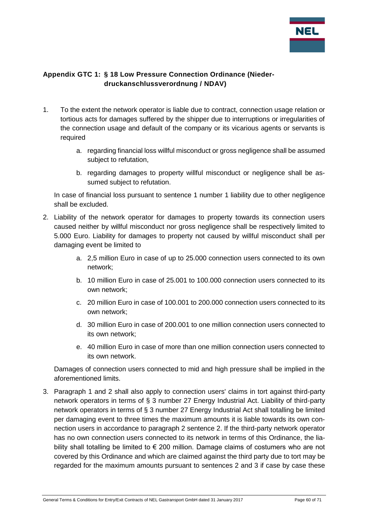

#### <span id="page-59-0"></span>**Appendix GTC 1: § 18 Low Pressure Connection Ordinance (Niederdruckanschlussverordnung / NDAV)**

- 1. To the extent the network operator is liable due to contract, connection usage relation or tortious acts for damages suffered by the shipper due to interruptions or irregularities of the connection usage and default of the company or its vicarious agents or servants is required
	- a. regarding financial loss willful misconduct or gross negligence shall be assumed subject to refutation,
	- b. regarding damages to property willful misconduct or negligence shall be assumed subject to refutation.

In case of financial loss pursuant to sentence 1 number 1 liability due to other negligence shall be excluded.

- 2. Liability of the network operator for damages to property towards its connection users caused neither by willful misconduct nor gross negligence shall be respectively limited to 5.000 Euro. Liability for damages to property not caused by willful misconduct shall per damaging event be limited to
	- a. 2,5 million Euro in case of up to 25.000 connection users connected to its own network;
	- b. 10 million Euro in case of 25.001 to 100.000 connection users connected to its own network;
	- c. 20 million Euro in case of 100.001 to 200.000 connection users connected to its own network;
	- d. 30 million Euro in case of 200.001 to one million connection users connected to its own network;
	- e. 40 million Euro in case of more than one million connection users connected to its own network.

Damages of connection users connected to mid and high pressure shall be implied in the aforementioned limits.

3. Paragraph 1 and 2 shall also apply to connection users' claims in tort against third-party network operators in terms of § 3 number 27 Energy Industrial Act. Liability of third-party network operators in terms of § 3 number 27 Energy Industrial Act shall totalling be limited per damaging event to three times the maximum amounts it is liable towards its own connection users in accordance to paragraph 2 sentence 2. If the third-party network operator has no own connection users connected to its network in terms of this Ordinance, the liability shall totalling be limited to  $\epsilon$  200 million. Damage claims of costumers who are not covered by this Ordinance and which are claimed against the third party due to tort may be regarded for the maximum amounts pursuant to sentences 2 and 3 if case by case these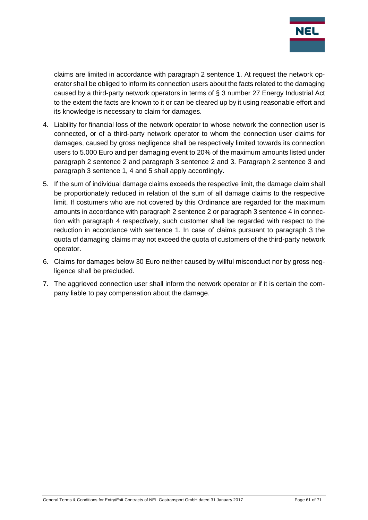

claims are limited in accordance with paragraph 2 sentence 1. At request the network operator shall be obliged to inform its connection users about the facts related to the damaging caused by a third-party network operators in terms of § 3 number 27 Energy Industrial Act to the extent the facts are known to it or can be cleared up by it using reasonable effort and its knowledge is necessary to claim for damages.

- 4. Liability for financial loss of the network operator to whose network the connection user is connected, or of a third-party network operator to whom the connection user claims for damages, caused by gross negligence shall be respectively limited towards its connection users to 5.000 Euro and per damaging event to 20% of the maximum amounts listed under paragraph 2 sentence 2 and paragraph 3 sentence 2 and 3. Paragraph 2 sentence 3 and paragraph 3 sentence 1, 4 and 5 shall apply accordingly.
- 5. If the sum of individual damage claims exceeds the respective limit, the damage claim shall be proportionately reduced in relation of the sum of all damage claims to the respective limit. If costumers who are not covered by this Ordinance are regarded for the maximum amounts in accordance with paragraph 2 sentence 2 or paragraph 3 sentence 4 in connection with paragraph 4 respectively, such customer shall be regarded with respect to the reduction in accordance with sentence 1. In case of claims pursuant to paragraph 3 the quota of damaging claims may not exceed the quota of customers of the third-party network operator.
- 6. Claims for damages below 30 Euro neither caused by willful misconduct nor by gross negligence shall be precluded.
- 7. The aggrieved connection user shall inform the network operator or if it is certain the company liable to pay compensation about the damage.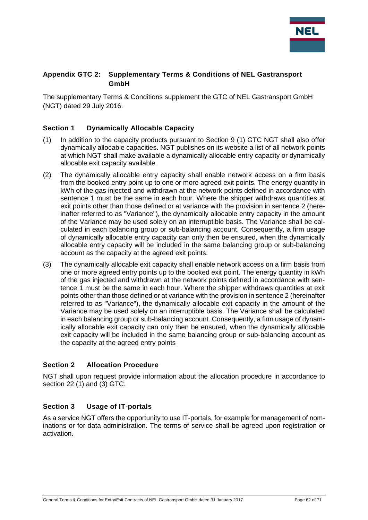

#### <span id="page-61-0"></span>**Appendix GTC 2: Supplementary Terms & Conditions of NEL Gastransport GmbH**

The supplementary Terms & Conditions supplement the GTC of NEL Gastransport GmbH (NGT) dated 29 July 2016.

#### <span id="page-61-1"></span>**Section 1 Dynamically Allocable Capacity**

- (1) In addition to the capacity products pursuant to Section 9 (1) GTC NGT shall also offer dynamically allocable capacities. NGT publishes on its website a list of all network points at which NGT shall make available a dynamically allocable entry capacity or dynamically allocable exit capacity available.
- (2) The dynamically allocable entry capacity shall enable network access on a firm basis from the booked entry point up to one or more agreed exit points. The energy quantity in kWh of the gas injected and withdrawn at the network points defined in accordance with sentence 1 must be the same in each hour. Where the shipper withdraws quantities at exit points other than those defined or at variance with the provision in sentence 2 (hereinafter referred to as "Variance"), the dynamically allocable entry capacity in the amount of the Variance may be used solely on an interruptible basis. The Variance shall be calculated in each balancing group or sub-balancing account. Consequently, a firm usage of dynamically allocable entry capacity can only then be ensured, when the dynamically allocable entry capacity will be included in the same balancing group or sub-balancing account as the capacity at the agreed exit points.
- (3) The dynamically allocable exit capacity shall enable network access on a firm basis from one or more agreed entry points up to the booked exit point. The energy quantity in kWh of the gas injected and withdrawn at the network points defined in accordance with sentence 1 must be the same in each hour. Where the shipper withdraws quantities at exit points other than those defined or at variance with the provision in sentence 2 (hereinafter referred to as "Variance"), the dynamically allocable exit capacity in the amount of the Variance may be used solely on an interruptible basis. The Variance shall be calculated in each balancing group or sub-balancing account. Consequently, a firm usage of dynamically allocable exit capacity can only then be ensured, when the dynamically allocable exit capacity will be included in the same balancing group or sub-balancing account as the capacity at the agreed entry points

#### <span id="page-61-2"></span>**Section 2 Allocation Procedure**

NGT shall upon request provide information about the allocation procedure in accordance to section 22 (1) and (3) GTC.

#### <span id="page-61-3"></span>**Section 3 Usage of IT-portals**

As a service NGT offers the opportunity to use IT-portals, for example for management of nominations or for data administration. The terms of service shall be agreed upon registration or activation.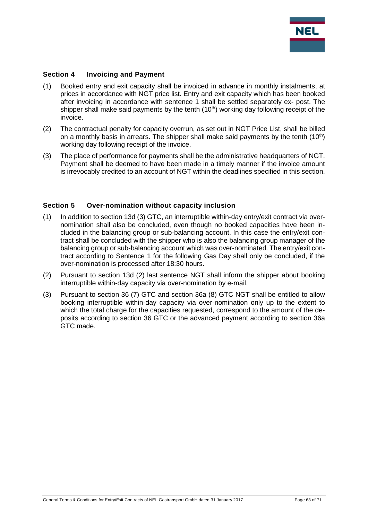

#### <span id="page-62-0"></span>**Section 4 Invoicing and Payment**

- (1) Booked entry and exit capacity shall be invoiced in advance in monthly instalments, at prices in accordance with NGT price list. Entry and exit capacity which has been booked after invoicing in accordance with sentence 1 shall be settled separately ex- post. The shipper shall make said payments by the tenth  $(10<sup>th</sup>)$  working day following receipt of the invoice.
- (2) The contractual penalty for capacity overrun, as set out in NGT Price List, shall be billed on a monthly basis in arrears. The shipper shall make said payments by the tenth  $(10<sup>th</sup>)$ working day following receipt of the invoice.
- (3) The place of performance for payments shall be the administrative headquarters of NGT. Payment shall be deemed to have been made in a timely manner if the invoice amount is irrevocably credited to an account of NGT within the deadlines specified in this section.

#### <span id="page-62-1"></span>**Section 5 Over-nomination without capacity inclusion**

- (1) In addition to section 13d (3) GTC, an interruptible within-day entry/exit contract via overnomination shall also be concluded, even though no booked capacities have been included in the balancing group or sub-balancing account. In this case the entry/exit contract shall be concluded with the shipper who is also the balancing group manager of the balancing group or sub-balancing account which was over-nominated. The entry/exit contract according to Sentence 1 for the following Gas Day shall only be concluded, if the over-nomination is processed after 18:30 hours.
- (2) Pursuant to section 13d (2) last sentence NGT shall inform the shipper about booking interruptible within-day capacity via over-nomination by e-mail.
- (3) Pursuant to section 36 (7) GTC and section 36a (8) GTC NGT shall be entitled to allow booking interruptible within-day capacity via over-nomination only up to the extent to which the total charge for the capacities requested, correspond to the amount of the deposits according to section 36 GTC or the advanced payment according to section 36a GTC made.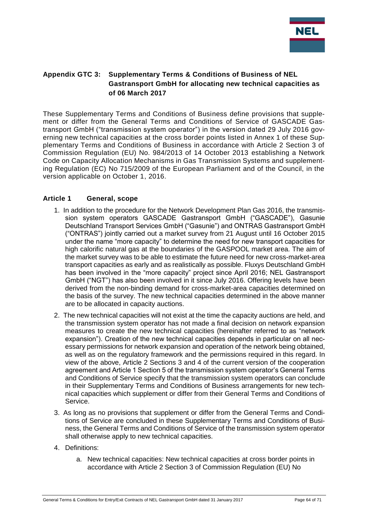

#### <span id="page-63-0"></span>**Appendix GTC 3: Supplementary Terms & Conditions of Business of NEL Gastransport GmbH for allocating new technical capacities as of 06 March 2017**

These Supplementary Terms and Conditions of Business define provisions that supplement or differ from the General Terms and Conditions of Service of GASCADE Gastransport GmbH ("transmission system operator") in the version dated 29 July 2016 governing new technical capacities at the cross border points listed in Annex 1 of these Supplementary Terms and Conditions of Business in accordance with Article 2 Section 3 of Commission Regulation (EU) No. 984/2013 of 14 October 2013 establishing a Network Code on Capacity Allocation Mechanisms in Gas Transmission Systems and supplementing Regulation (EC) No 715/2009 of the European Parliament and of the Council, in the version applicable on October 1, 2016.

#### <span id="page-63-1"></span>**Article 1 General, scope**

- 1. In addition to the procedure for the Network Development Plan Gas 2016, the transmission system operators GASCADE Gastransport GmbH ("GASCADE"), Gasunie Deutschland Transport Services GmbH ("Gasunie") and ONTRAS Gastransport GmbH ("ONTRAS") jointly carried out a market survey from 21 August until 16 October 2015 under the name "more capacity" to determine the need for new transport capacities for high calorific natural gas at the boundaries of the GASPOOL market area. The aim of the market survey was to be able to estimate the future need for new cross-market-area transport capacities as early and as realistically as possible. Fluxys Deutschland GmbH has been involved in the "more capacity" project since April 2016; NEL Gastransport GmbH ("NGT") has also been involved in it since July 2016. Offering levels have been derived from the non-binding demand for cross-market-area capacities determined on the basis of the survey. The new technical capacities determined in the above manner are to be allocated in capacity auctions.
- 2. The new technical capacities will not exist at the time the capacity auctions are held, and the transmission system operator has not made a final decision on network expansion measures to create the new technical capacities (hereinafter referred to as "network expansion"). Creation of the new technical capacities depends in particular on all necessary permissions for network expansion and operation of the network being obtained, as well as on the regulatory framework and the permissions required in this regard. In view of the above, Article 2 Sections 3 and 4 of the current version of the cooperation agreement and Article 1 Section 5 of the transmission system operator's General Terms and Conditions of Service specify that the transmission system operators can conclude in their Supplementary Terms and Conditions of Business arrangements for new technical capacities which supplement or differ from their General Terms and Conditions of Service.
- 3. As long as no provisions that supplement or differ from the General Terms and Conditions of Service are concluded in these Supplementary Terms and Conditions of Business, the General Terms and Conditions of Service of the transmission system operator shall otherwise apply to new technical capacities.
- 4. Definitions:
	- a. New technical capacities: New technical capacities at cross border points in accordance with Article 2 Section 3 of Commission Regulation (EU) No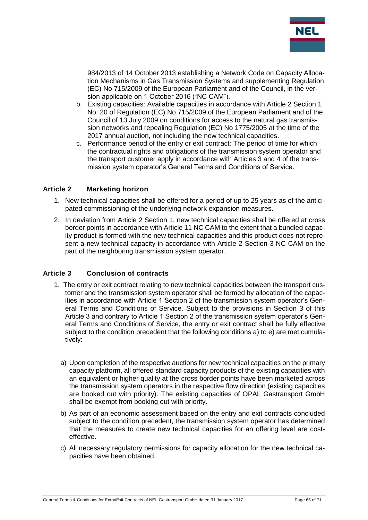

984/2013 of 14 October 2013 establishing a Network Code on Capacity Allocation Mechanisms in Gas Transmission Systems and supplementing Regulation (EC) No 715/2009 of the European Parliament and of the Council, in the version applicable on 1 October 2016 ("NC CAM").

- b. Existing capacities: Available capacities in accordance with Article 2 Section 1 No. 20 of Regulation (EC) No 715/2009 of the European Parliament and of the Council of 13 July 2009 on conditions for access to the natural gas transmission networks and repealing Regulation (EC) No 1775/2005 at the time of the 2017 annual auction, not including the new technical capacities.
- c. Performance period of the entry or exit contract: The period of time for which the contractual rights and obligations of the transmission system operator and the transport customer apply in accordance with Articles 3 and 4 of the transmission system operator's General Terms and Conditions of Service.

#### <span id="page-64-0"></span>**Article 2 Marketing horizon**

- 1. New technical capacities shall be offered for a period of up to 25 years as of the anticipated commissioning of the underlying network expansion measures.
- 2. In deviation from Article 2 Section 1, new technical capacities shall be offered at cross border points in accordance with Article 11 NC CAM to the extent that a bundled capacity product is formed with the new technical capacities and this product does not represent a new technical capacity in accordance with Article 2 Section 3 NC CAM on the part of the neighboring transmission system operator.

#### <span id="page-64-1"></span>**Article 3 Conclusion of contracts**

- 1. The entry or exit contract relating to new technical capacities between the transport customer and the transmission system operator shall be formed by allocation of the capacities in accordance with Article 1 Section 2 of the transmission system operator's General Terms and Conditions of Service. Subject to the provisions in Section 3 of this Article 3 and contrary to Article 1 Section 2 of the transmission system operator's General Terms and Conditions of Service, the entry or exit contract shall be fully effective subject to the condition precedent that the following conditions a) to e) are met cumulatively:
	- a) Upon completion of the respective auctions for new technical capacities on the primary capacity platform, all offered standard capacity products of the existing capacities with an equivalent or higher quality at the cross border points have been marketed across the transmission system operators in the respective flow direction (existing capacities are booked out with priority). The existing capacities of OPAL Gastransport GmbH shall be exempt from booking out with priority.
	- b) As part of an economic assessment based on the entry and exit contracts concluded subject to the condition precedent, the transmission system operator has determined that the measures to create new technical capacities for an offering level are costeffective.
	- c) All necessary regulatory permissions for capacity allocation for the new technical capacities have been obtained.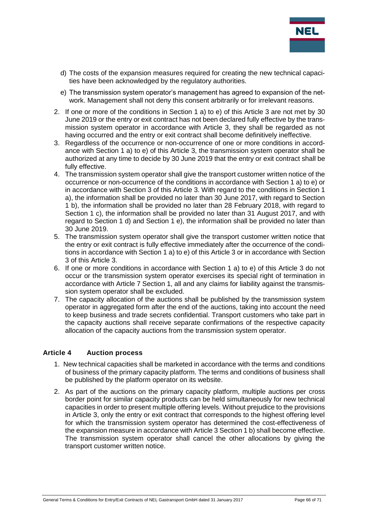

- d) The costs of the expansion measures required for creating the new technical capacities have been acknowledged by the regulatory authorities.
- e) The transmission system operator's management has agreed to expansion of the network. Management shall not deny this consent arbitrarily or for irrelevant reasons.
- 2. If one or more of the conditions in Section 1 a) to e) of this Article 3 are not met by 30 June 2019 or the entry or exit contract has not been declared fully effective by the transmission system operator in accordance with Article 3, they shall be regarded as not having occurred and the entry or exit contract shall become definitively ineffective.
- 3. Regardless of the occurrence or non-occurrence of one or more conditions in accordance with Section 1 a) to e) of this Article 3, the transmission system operator shall be authorized at any time to decide by 30 June 2019 that the entry or exit contract shall be fully effective.
- 4. The transmission system operator shall give the transport customer written notice of the occurrence or non-occurrence of the conditions in accordance with Section 1 a) to e) or in accordance with Section 3 of this Article 3. With regard to the conditions in Section 1 a), the information shall be provided no later than 30 June 2017, with regard to Section 1 b), the information shall be provided no later than 28 February 2018, with regard to Section 1 c), the information shall be provided no later than 31 August 2017, and with regard to Section 1 d) and Section 1 e), the information shall be provided no later than 30 June 2019.
- 5. The transmission system operator shall give the transport customer written notice that the entry or exit contract is fully effective immediately after the occurrence of the conditions in accordance with Section 1 a) to e) of this Article 3 or in accordance with Section 3 of this Article 3.
- 6. If one or more conditions in accordance with Section 1 a) to e) of this Article 3 do not occur or the transmission system operator exercises its special right of termination in accordance with Article 7 Section 1, all and any claims for liability against the transmission system operator shall be excluded.
- 7. The capacity allocation of the auctions shall be published by the transmission system operator in aggregated form after the end of the auctions, taking into account the need to keep business and trade secrets confidential. Transport customers who take part in the capacity auctions shall receive separate confirmations of the respective capacity allocation of the capacity auctions from the transmission system operator.

#### <span id="page-65-0"></span>**Article 4 Auction process**

- 1. New technical capacities shall be marketed in accordance with the terms and conditions of business of the primary capacity platform. The terms and conditions of business shall be published by the platform operator on its website.
- 2. As part of the auctions on the primary capacity platform, multiple auctions per cross border point for similar capacity products can be held simultaneously for new technical capacities in order to present multiple offering levels. Without prejudice to the provisions in Article 3, only the entry or exit contract that corresponds to the highest offering level for which the transmission system operator has determined the cost-effectiveness of the expansion measure in accordance with Article 3 Section 1 b) shall become effective. The transmission system operator shall cancel the other allocations by giving the transport customer written notice.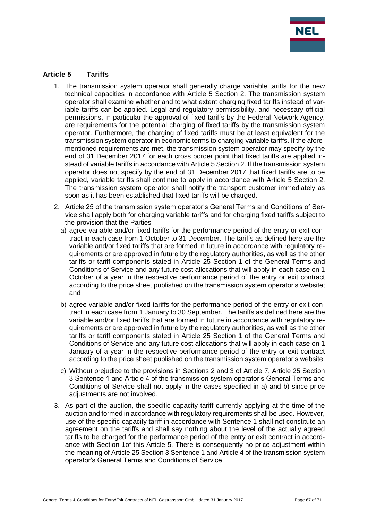

#### <span id="page-66-0"></span>**Article 5 Tariffs**

- 1. The transmission system operator shall generally charge variable tariffs for the new technical capacities in accordance with Article 5 Section 2. The transmission system operator shall examine whether and to what extent charging fixed tariffs instead of variable tariffs can be applied. Legal and regulatory permissibility, and necessary official permissions, in particular the approval of fixed tariffs by the Federal Network Agency, are requirements for the potential charging of fixed tariffs by the transmission system operator. Furthermore, the charging of fixed tariffs must be at least equivalent for the transmission system operator in economic terms to charging variable tariffs. If the aforementioned requirements are met, the transmission system operator may specify by the end of 31 December 2017 for each cross border point that fixed tariffs are applied instead of variable tariffs in accordance with Article 5 Section 2. If the transmission system operator does not specify by the end of 31 December 2017 that fixed tariffs are to be applied, variable tariffs shall continue to apply in accordance with Article 5 Section 2. The transmission system operator shall notify the transport customer immediately as soon as it has been established that fixed tariffs will be charged.
- 2. Article 25 of the transmission system operator's General Terms and Conditions of Service shall apply both for charging variable tariffs and for charging fixed tariffs subject to the provision that the Parties
	- a) agree variable and/or fixed tariffs for the performance period of the entry or exit contract in each case from 1 October to 31 December. The tariffs as defined here are the variable and/or fixed tariffs that are formed in future in accordance with regulatory requirements or are approved in future by the regulatory authorities, as well as the other tariffs or tariff components stated in Article 25 Section 1 of the General Terms and Conditions of Service and any future cost allocations that will apply in each case on 1 October of a year in the respective performance period of the entry or exit contract according to the price sheet published on the transmission system operator's website; and
	- b) agree variable and/or fixed tariffs for the performance period of the entry or exit contract in each case from 1 January to 30 September. The tariffs as defined here are the variable and/or fixed tariffs that are formed in future in accordance with regulatory requirements or are approved in future by the regulatory authorities, as well as the other tariffs or tariff components stated in Article 25 Section 1 of the General Terms and Conditions of Service and any future cost allocations that will apply in each case on 1 January of a year in the respective performance period of the entry or exit contract according to the price sheet published on the transmission system operator's website.
	- c) Without prejudice to the provisions in Sections 2 and 3 of Article 7, Article 25 Section 3 Sentence 1 and Article 4 of the transmission system operator's General Terms and Conditions of Service shall not apply in the cases specified in a) and b) since price adiustments are not involved.
- 3. As part of the auction, the specific capacity tariff currently applying at the time of the auction and formed in accordance with regulatory requirements shall be used. However, use of the specific capacity tariff in accordance with Sentence 1 shall not constitute an agreement on the tariffs and shall say nothing about the level of the actually agreed tariffs to be charged for the performance period of the entry or exit contract in accordance with Section 1of this Article 5. There is consequently no price adjustment within the meaning of Article 25 Section 3 Sentence 1 and Article 4 of the transmission system operator's General Terms and Conditions of Service.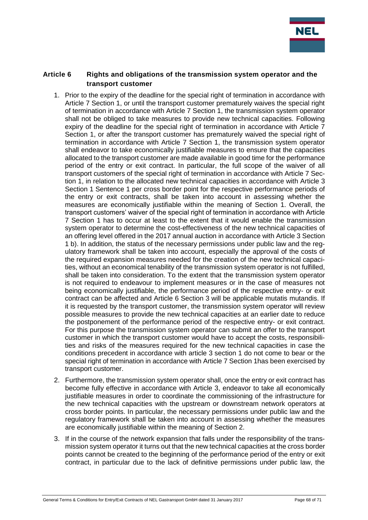

#### <span id="page-67-0"></span>**Article 6 Rights and obligations of the transmission system operator and the transport customer**

- 1. Prior to the expiry of the deadline for the special right of termination in accordance with Article 7 Section 1, or until the transport customer prematurely waives the special right of termination in accordance with Article 7 Section 1, the transmission system operator shall not be obliged to take measures to provide new technical capacities. Following expiry of the deadline for the special right of termination in accordance with Article 7 Section 1, or after the transport customer has prematurely waived the special right of termination in accordance with Article 7 Section 1, the transmission system operator shall endeavor to take economically justifiable measures to ensure that the capacities allocated to the transport customer are made available in good time for the performance period of the entry or exit contract. In particular, the full scope of the waiver of all transport customers of the special right of termination in accordance with Article 7 Section 1, in relation to the allocated new technical capacities in accordance with Article 3 Section 1 Sentence 1 per cross border point for the respective performance periods of the entry or exit contracts, shall be taken into account in assessing whether the measures are economically justifiable within the meaning of Section 1. Overall, the transport customers' waiver of the special right of termination in accordance with Article 7 Section 1 has to occur at least to the extent that it would enable the transmission system operator to determine the cost-effectiveness of the new technical capacities of an offering level offered in the 2017 annual auction in accordance with Article 3 Section 1 b). In addition, the status of the necessary permissions under public law and the regulatory framework shall be taken into account, especially the approval of the costs of the required expansion measures needed for the creation of the new technical capacities, without an economical tenability of the transmission system operator is not fulfilled, shall be taken into consideration. To the extent that the transmission system operator is not required to endeavour to implement measures or in the case of measures not being economically justifiable, the performance period of the respective entry- or exit contract can be affected and Article 6 Section 3 will be applicable mutatis mutandis. If it is requested by the transport customer, the transmission system operator will review possible measures to provide the new technical capacities at an earlier date to reduce the postponement of the performance period of the respective entry- or exit contract. For this purpose the transmission system operator can submit an offer to the transport customer in which the transport customer would have to accept the costs, responsibilities and risks of the measures required for the new technical capacities in case the conditions precedent in accordance with article 3 section 1 do not come to bear or the special right of termination in accordance with Article 7 Section 1has been exercised by transport customer.
- 2. Furthermore, the transmission system operator shall, once the entry or exit contract has become fully effective in accordance with Article 3, endeavor to take all economically justifiable measures in order to coordinate the commissioning of the infrastructure for the new technical capacities with the upstream or downstream network operators at cross border points. In particular, the necessary permissions under public law and the regulatory framework shall be taken into account in assessing whether the measures are economically justifiable within the meaning of Section 2.
- 3. If in the course of the network expansion that falls under the responsibility of the transmission system operator it turns out that the new technical capacities at the cross border points cannot be created to the beginning of the performance period of the entry or exit contract, in particular due to the lack of definitive permissions under public law, the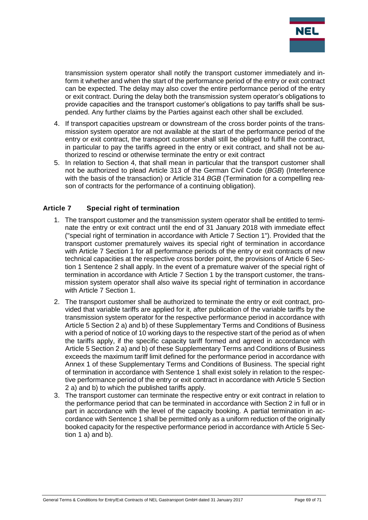

transmission system operator shall notify the transport customer immediately and inform it whether and when the start of the performance period of the entry or exit contract can be expected. The delay may also cover the entire performance period of the entry or exit contract. During the delay both the transmission system operator's obligations to provide capacities and the transport customer's obligations to pay tariffs shall be suspended. Any further claims by the Parties against each other shall be excluded.

- 4. If transport capacities upstream or downstream of the cross border points of the transmission system operator are not available at the start of the performance period of the entry or exit contract, the transport customer shall still be obliged to fulfill the contract, in particular to pay the tariffs agreed in the entry or exit contract, and shall not be authorized to rescind or otherwise terminate the entry or exit contract
- 5. In relation to Section 4, that shall mean in particular that the transport customer shall not be authorized to plead Article 313 of the German Civil Code (*BGB*) (Interference with the basis of the transaction) or Article 314 *BGB* (Termination for a compelling reason of contracts for the performance of a continuing obligation).

#### <span id="page-68-0"></span>**Article 7 Special right of termination**

- 1. The transport customer and the transmission system operator shall be entitled to terminate the entry or exit contract until the end of 31 January 2018 with immediate effect ("special right of termination in accordance with Article 7 Section 1"). Provided that the transport customer prematurely waives its special right of termination in accordance with Article 7 Section 1 for all performance periods of the entry or exit contracts of new technical capacities at the respective cross border point, the provisions of Article 6 Section 1 Sentence 2 shall apply. In the event of a premature waiver of the special right of termination in accordance with Article 7 Section 1 by the transport customer, the transmission system operator shall also waive its special right of termination in accordance with Article 7 Section 1.
- 2. The transport customer shall be authorized to terminate the entry or exit contract, provided that variable tariffs are applied for it, after publication of the variable tariffs by the transmission system operator for the respective performance period in accordance with Article 5 Section 2 a) and b) of these Supplementary Terms and Conditions of Business with a period of notice of 10 working days to the respective start of the period as of when the tariffs apply, if the specific capacity tariff formed and agreed in accordance with Article 5 Section 2 a) and b) of these Supplementary Terms and Conditions of Business exceeds the maximum tariff limit defined for the performance period in accordance with Annex 1 of these Supplementary Terms and Conditions of Business. The special right of termination in accordance with Sentence 1 shall exist solely in relation to the respective performance period of the entry or exit contract in accordance with Article 5 Section 2 a) and b) to which the published tariffs apply.
- 3. The transport customer can terminate the respective entry or exit contract in relation to the performance period that can be terminated in accordance with Section 2 in full or in part in accordance with the level of the capacity booking. A partial termination in accordance with Sentence 1 shall be permitted only as a uniform reduction of the originally booked capacity for the respective performance period in accordance with Article 5 Section 1 a) and b).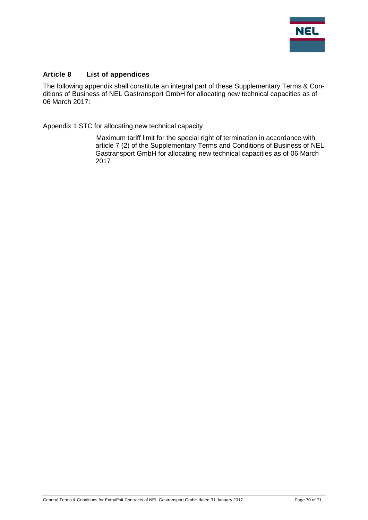

#### <span id="page-69-0"></span>**Article 8 List of appendices**

The following appendix shall constitute an integral part of these Supplementary Terms & Conditions of Business of NEL Gastransport GmbH for allocating new technical capacities as of 06 March 2017:

Appendix 1 STC for allocating new technical capacity

Maximum tariff limit for the special right of termination in accordance with article 7 (2) of the Supplementary Terms and Conditions of Business of NEL Gastransport GmbH for allocating new technical capacities as of 06 March 2017